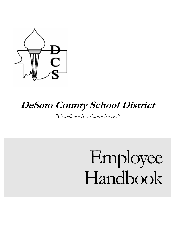

# **DeSoto County School District**

*"Excellence is a Commitment"* 

# Employee Handbook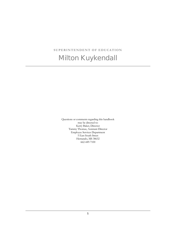**SUPERINTENDENT OF EDUCATION** 

# Milton Kuykendall

Questions or comments regarding this handbook may be directed to: Kerry Baker, Director Tammy Thomas, Assistant Director Employee Services Department 5 East South Street Hernando, MS 38632 662-449-7100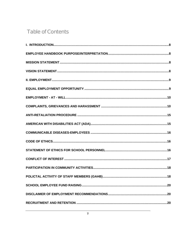# **Table of Contents**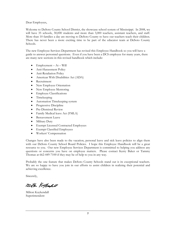Dear Employees,

Welcome to DeSoto County School District, the showcase school system of Mississippi. In 2008, we will have 35 schools, 30,000 students and more than 3,000 teachers, assistant teachers, and staff. More than 10 families a day are moving to DeSoto County to have our teachers teach their children. There has never been a more exciting time to be part of the educator team at DeSoto County Schools.

The new Employee Services Department has revised this Employee Handbook so you will have a guide to answer personnel questions. Even if you have been a DCS employee for many years, there are many new sections in this revised handbook which include:

- $Employment At Will$
- Anti-Harassment Policy
- Anti-Retaliation Policy
- American With Disabilities Act (ADA)
- Recruitment
- New Employee Orientation
- New Employee Mentoring
- Employee Classifications
- Timekeeping
- Automation Timekeeping system
- Progressive Discipline
- Pre-Dismissal Review
- Family Medical leave Act (FMLA)
- Bereavement Leave
- Military Duty
- Exempt Licensed Contracted Employees
- Exempt Classified Employees
- Workers' Compensation

Changes have also been made to the vacation, personal leave and sick leave policies to align them with our DeSoto County School Board Policies. I hope this Employee Handbook will be a great resource to you. Our new Employee Services Department is committed to helping you address any questions or concerns you have on employee matters. Please contact Kerry Baker or Tammy Thomas at 662-449-7100 if they may be of help to you in any way.

Probably the one feature that makes DeSoto County Schools stand out is its exceptional teachers. We are so happy to have you join in our efforts to assist children in realizing their potential and achieving excellence.

Sincerely,

Milton Kellenhell

Milton Kuykendall Superintendent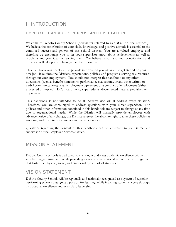# <span id="page-8-0"></span>I. INTRODUCTION

#### EMPLOYEE HANDBOOK PURPOSE/INTERPRETATION

Welcome to DeSoto County Schools (hereinafter referred to as "DCS" or "the District"). We believe the contribution of your skills, knowledge, and positive attitude is essential to the continued success and growth of this school district. You are a valued employee and therefore we encourage you to let your supervisor know about achievements as well as problems and your ideas on solving them. We believe in you and your contributions and hope you will take pride in being a member of our team.

This handbook was developed to provide information you will need to get started on your new job. It outlines the District's expectations, policies, and programs, serving as a resource throughout your employment. You should not interpret this handbook or any other documents (such as benefits statements, performance evaluations, or any other written or verbal communications) as an employment agreement or a contract of employment (either expressed or implied). DCS Board policy supersedes all documented material published or unpublished.

This handbook is not intended to be all-inclusive nor will it address every situation. Therefore, you are encouraged to address questions with your direct supervisor. The policies and other information contained in this handbook are subject to change at any time due to organizational needs. While the District will normally provide employees with advance notice of any change, the District reserves the absolute right to alter these policies at any time, and from time to time without advance notice.

Questions regarding the content of this handbook can be addressed to your immediate supervisor or the Employee Services Office.

#### MISSION STATEMENT

DeSoto County Schools is dedicated to ensuring world-class academic excellence within a safe learning environment, while providing a variety of exceptional extracurricular programs that foster the physical, social, and emotional growth of all students.

# VISION STATEMENT

DeSoto County Schools will be regionally and nationally recognized as a system of superiorperforming schools that ignite a passion for learning, while inspiring student success through instructional excellence and exemplary leadership.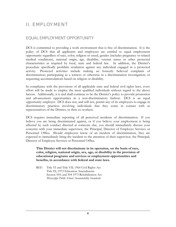# <span id="page-9-0"></span>II. EMPLOYMENT

#### EQUAL EMPLOYMENT OPPORTUNITY

DCS is committed to providing a work environment that is free of discrimination. It is the policy of DCS that all applicants and employees are entitled to equal employment opportunity regardless of race, color, religion or creed, gender (includes pregnancy or related medical conditions), national origin, age, disability, veteran status or other protected characteristics as required by local, state and federal law. In addition, the District's procedure specifically prohibits retaliation against any individual engaged in a protected activity. Protected activities include making an honestly believed complaint of discrimination; participating as a witness or otherwise in a discrimination investigation; or requesting accommodations based on religion or disability.

In compliance with the provisions of all applicable state and federal civil rights laws, every effort will be made to employ the most qualified individuals without regard to the above factors. Additionally, it is and shall continue to be the District's policy to provide promotion and advancement opportunities in a non-discriminatory fashion. DCS is an equal opportunity employer. DCS does not, and will not, permit any of its employees to engage in discriminatory practices involving individuals that they come in contact with as representatives of the District, or their co-workers.

DCS requires immediate reporting of all perceived incidents of discrimination. If you believe you are being discriminated against, or if you believe your employment is being affected by such conduct directed at someone else, you should immediately discuss your concerns with your immediate supervisor, the Principal, Director of Employee Services or Personnel Office. Should employees know of an incident of discrimination, they are expected to immediately bring the incident to the attention of their supervisor, the Principal, Director of Employee Services or Personnel Office.

**This District will not discriminate in its operation, on the basis of race, color, religion, national origin, sex, age, or disability in the provision of educational programs and services or employment opportunities and benefits, in accordance with federal and state laws.** 

REF: Title VI and Title VII; 1964 Civil Rights Act Title IX; 1972 Education Amendments Section 503; and 504 1973 Rehabilitation Act *Mississippi Public School Accountability Standards*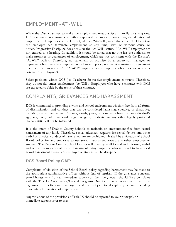# <span id="page-10-0"></span>EMPLOYMENT - AT - WILL

While the District strives to make the employment relationship a mutually satisfying one, DCS can make no assurances, either expressed or implied, concerning the duration of employment. Employees of the District, who are "At-Will", mean that either the District or the employee can terminate employment at any time, with or without cause or notice. Progressive Discipline does not altar the "At-Will" status. "At -Will" employees are not entitled to a hearing. In addition, it should be noted that no one has the authority to make promises or guarantees of employment, which are not consistent with the District's "At-Will" policy. Therefore, no statement or promise by a supervisor, manager or department head may be interpreted as a change in policy nor will it constitute an agreement made with an employee. An "At-Will" employee is any employee who does not receive a contract of employment.

Select positions within DCS (i.e. Teachers) do receive employment contracts. Therefore, they do not fall under employment "At-Will". Employees who have a contract with DCS are expected to abide by the terms of their contract.

#### COMPLAINTS, GRIEVANCES AND HARASSMENT

DCS is committed to providing a work and school environment which is free from all forms of discrimination and conduct that can be considered harassing, coercive, or disruptive, including sexual harassment. Actions, words, jokes, or comments based on an individual's age, sex, race, color, national origin, religion, disability, or any other legally protected characteristic will not be tolerated.

It is the intent of DeSoto County Schools to maintain an environment free from sexual harassment of any kind. Therefore, sexual advances, requests for sexual favors, and other verbal or physical conduct of a sexual nature are prohibited. It shall be a violation of School Board policy for any employee to use sexual harassment toward any other employee or student. The DeSoto County School District will investigate all formal and informal, verbal and written complaints of sexual harassment. Any employee who is found to have used sexual harassment toward any employee or student will be disciplined.

#### **DCS Board Policy GAE:**

Complaints of violation of the School Board policy regarding harassment may be made to the appropriate administrative officer without fear of reprisal. If the grievance concerns sexual harassment from an immediate supervisor, then the grievant should file a complaint with the Title IX Coordinator/Federal Programs Director. Should violations prove to be legitimate, the offending employee shall be subject to disciplinary action, including involuntary termination of employment.

Any violations of the provisions of Title IX should be reported to your principal, or immediate supervisor or to the: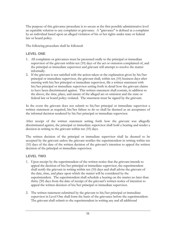The purpose of this grievance procedure is to secure at the first possible administrative level an equitable solution to any complaint or grievance. A "grievance" is defined as a complaint by an individual based upon an alleged violation of his or her rights under state or federal law or board policy.

The following procedure shall be followed:

#### **LEVEL ONE**

- 1. All complaints or grievances must be presented orally to the principal or immediate supervisor of the grievant within ten (10) days of the act or omission complained of, and the principal or immediate supervisor and grievant will attempt to resolve the matter informally.
- 2. If the grievant is not satisfied with the action taken or the explanation given by his/her principal or immediate supervisor, the grievant shall, within ten (10) business days after meeting with his/her principal or immediate supervisor, file a written statement with his/her principal or immediate supervisor setting forth in detail how the grievant claims to have been discriminated against. This written statement shall contain, in addition to the above, the time, place, and nature of the alleged act or omission and the state or federal law or board policy violated. The statement must be signed by the grievant.

In the event the grievant does not submit to his/her principal or immediate supervisor a written statement as required, his/her failure to do so shall be deemed as an acceptance of the informal decision rendered by his/her principal or immediate supervisor.

After receipt of the written statement setting forth how the grievant was allegedly discriminated against, the principal or immediate supervisor shall hold a hearing and render a decision in writing to the grievant within ten (10) days.

The written decision of the principal or immediate supervisor shall be deemed to be accepted by the grievant unless the grievant notifies the superintendent in writing within ten (10) days of the date of the written decision of the grievant's intention to appeal the written decision of the principal or immediate supervisor.

#### **LEVEL TWO**

- 1. Upon receipt by the superintendent of the written notice that the grievant intends to appeal the decision of his/her principal or immediate supervisor, the superintendent shall notify the grievant in writing within ten (10) days and shall advise the grievant of the date, time, and place upon which the matter will be considered by the superintendent. The superintendent shall schedule a hearing on the matter no later than thirty (30) days from the date of receipt of the grievant's written notice of intention to appeal the written decision of his/her principal or immediate supervisor.
- 2. The written statement submitted by the grievant to his/her principal or immediate supervisor in Level One shall form the basis of the grievance before the superintendent. The grievant shall submit to the superintendent in writing any and all additional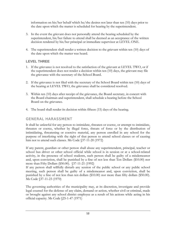information on his/her behalf which he/she desires not later than ten (10) days prior to the date upon which the matter is scheduled for hearing by the superintendent.

- 3. In the event the grievant does not personally attend the hearing scheduled by the superintendent, his/her failure to attend shall be deemed as an acceptance of the written decision rendered by his/her principal or immediate supervisor at LEVEL ONE.
- 4. The superintendent shall render a written decision to the grievant within ten (10) days of the date upon which the matter was heard.

#### **LEVEL THREE**

- 1. If the grievance is not resolved to the satisfaction of the grievant at LEVEL TWO, or if the superintendent does not render a decision within ten (10) days, the grievant may file the grievance with the secretary of the School Board.
- 2. If the grievance is not filed with the secretary of the School Board within ten (10) days of the hearing at LEVEL TWO, the grievance shall be considered resolved.
- 3. Within ten (10) days after receipt of the grievance, the Board secretary, in concert with the Board chairman and superintendent, shall schedule a hearing before the School Board on the grievance.
- 4. The board shall render its decision within fifteen (15) days of the hearing.

#### GENERAL HARASSMENT

It shall be unlawful for any person to intimidate, threaten or coerce, or attempt to intimidate, threaten or coerce, whether by illegal force, threats of force or by the distribution of intimidating, threatening or coercive material, any person enrolled in any school for the purpose of interfering with the right of that person to attend school classes or of causing him not to attend such classes. Ms Code §37-11-20 (1972)

If any parent, guardian or other person shall abuse any superintendent, principal, teacher or school bus driver or other school official while school is in session or at a school-related activity, in the presence of school students, such person shall be guilty of a misdemeanor and, upon conviction, shall be punished by a fine of not less than Ten Dollars (\$10.00) nor more than Fifty Dollars (\$50.00). §37-11-21 (1992)

If any person shall willfully disturb any session of the public school or any public school meeting, such person shall be guilty of a misdemeanor and, upon conviction, shall be punished by a fine of not less than ten dollars (\$10.00) nor more than fifty dollars (\$50.00). Ms Code §37-11-23 (1970)

The governing authorities of the municipality may, at its discretion, investigate and provide legal counsel for the defense of any claim, demand or action, whether civil or criminal, made or brought against any school district employee as a result of his actions while acting in his official capacity. Ms Code §25-1-47 (1971)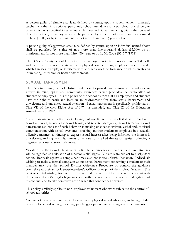A person guilty of simple assault as defined by statute, upon a superintendent, principal, teacher or other instructional personnel, school attendance officer, school bus driver, or other individuals specified in state law while these individuals are acting within the scope of their duty, office, or employment shall be punished by a fine of not more than one-thousand dollars (\$1,000) or by imprisonment for not more than five (5) years or both.

A person guilty of aggravated assault, as defined by statute, upon an individual named above shall be punished by a fine of not more than five-thousand dollars (\$5,000) or by imprisonment for not more than thirty (30) years or both. Ms Code §97-3-7 (1972)

The DeSoto County School District affirms employee protection provided under Title VII, and therefore "shall not tolerate verbal or physical conduct by any employee, male or female, which harasses, disrupts, or interferes with another's work performance or which creates an intimidating, offensive, or hostile environment."

#### SEXUAL HARASSMENT

The DeSoto County School District endeavors to provide an environment conducive to growth in mind, spirit, and community awareness which precludes the exploitation of students or employees. It is the policy of the school district that all employees and students have the right to work and learn in an environment free from sexual harassment and unwelcome and unwanted sexual attention. Sexual harassment is specifically prohibited by Title VII of the Civil Rights Act of 1974, as amended, and Title IX of the Education Amendments of 1972.

Sexual harassment is defined as including, but not limited to, unsolicited and unwelcome sexual advances, requests for sexual favors, and repeated derogatory sexual remarks. Sexual harassment can consist of such behavior as making unsolicited written, verbal and/or visual communication with sexual overtones, touching another student or employee in a sexually offensive manner, continuing to express sexual interest after being informed the interest is unwelcome, making reprisals, threats of reprisal, or implied threats of reprisal following a negative response to sexual advances.

Violations of the Sexual Harassment Policy by administrators, teachers, staff and students will be regarded as a violation of a person's civil rights. Violators are subject to disciplinary action. Reprisals against a complainant may also constitute unlawful behavior. Individuals wishing to make a formal complaint about sexual harassment concerning a student or staff member may use the School District Grievance Procedure or contact the guidance counselors at their school/Superintendent's Office/ principal of their school/teacher. The right to confidentiality, for both the accuser and accused, will be respected consistent with the school district's legal obligations and with the necessity to investigate allegations of misconduct and to take corrective action when this conduct has occurred.

This policy similarly applies to non-employee volunteers who work subject to the control of school authorities.

Conduct of a sexual nature may include verbal or physical sexual advances, including subtle pressure for sexual activity; touching, pinching, or patting, or brushing against; comments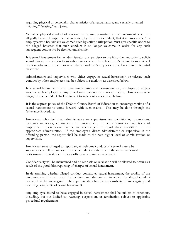regarding physical or personality characteristics of a sexual nature; and sexually-oriented "kidding," "teasing," and jokes.

Verbal or physical conduct of a sexual nature may constitute sexual harassment when the allegedly harassed employee has indicated, by his or her conduct, that it is unwelcome.Any employee who has initially welcomed such by active participation must give specific notice to the alleged harasser that such conduct is no longer welcome in order for any such subsequent conduct to be deemed unwelcome.

It is sexual harassment for an administrator or supervisor to use his or her authority to solicit sexual favors or attention from subordinates when the subordinate's failure to submit will result in adverse treatment, or when the subordinate's acquiescence will result in preferential treatment.

Administrators and supervisors who either engage in sexual harassment or tolerate such conduct by other employees shall be subject to sanctions, as described below.

It is sexual harassment for a non-administrative and non-supervisory employee to subject another such employee to any unwelcome conduct of a sexual nature. Employees who engage in such conduct shall be subject to sanctions as described below.

It is the express policy of the DeSoto County Board of Education to encourage victims of a sexual harassment to come forward with such claims. This may be done through the Grievance Procedure.

Employees who feel that administrators or supervisors are conditioning promotions, increases in wages, continuation of employment, or other terms or conditions of employment upon sexual favors, are encouraged to report these conditions to the appropriate administrator. If the employee's direct administrator or supervisor is the offending person, the report shall be made to the next higher level of administration or supervision.

Employees are also urged to report any unwelcome conduct of a sexual nature by supervisors or fellow employees if such conduct interferes with the individual's work performance or creates a hostile or offensive working environment.

Confidentiality will be maintained and no reprisals or retaliation will be allowed to occur as a result of the good faith reporting of charges of sexual harassment.

In determining whether alleged conduct constitutes sexual harassment, the totality of the circumstances, the nature of the conduct, and the context in which the alleged conduct occurred will be investigated. The superintendent has the responsibility of investigating and resolving complaints of sexual harassment.

Any employee found to have engaged in sexual harassment shall be subject to sanctions, including, but not limited to, warning, suspension, or termination subject to applicable procedural requirements.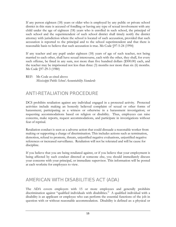<span id="page-15-0"></span>If any person eighteen (18) years or older who is employed by any public or private school district in this state is accused of fondling or having any type of sexual involvement with any child under the age of eighteen (18) years who is enrolled in such school, the principal of such school and the superintendent of such school district shall timely notify the district attorney with jurisdiction where the school is located of such accusation, provided that such accusation is reported to the principal and to the school superintendent and that there is reasonable basis to believe that such accusation is true. Ms Code §97-5-24 (1994)

If any teacher and any pupil under eighteen (18) years of age of such teacher, not being married to each other, shall have sexual intercourse, each with the other, they shall, for every such offense, be fined in any sum, not more than five hundred dollars (\$500.00) each, and the teacher may be imprisoned not less than three (3) months nor more than six (6) months. Ms Code §97-29-3 (1980)

REF: Ms Code as cited above *Mississippi Public School Accountability Standards*

# ANTI-RETALIATION PROCEDURE

DCS prohibits retaliation against any individual engaged in a protected activity. Protected activities include making an honestly believed complaint of sexual or other forms of harassment; participating as a witness or otherwise in a harassment investigation; or requesting accommodations based on religion or disability. Thus, employees can raise concerns, make reports, request accommodations, and participate in investigations without fear of reprisal.

Retaliation conduct is seen as a adverse action that could dissuade a reasonable worker from making or supporting a charge of discrimination. This includes actions such as termination, demotion, refusal to promote, threats, unjustified negative evaluations, unjustified negative references or increased surveillance. Retaliation will not be tolerated and will be cause for discipline.

If you believe that you are being retaliated against, or if you believe that your employment is being affected by such conduct directed at someone else, you should immediately discuss your concerns with your principal, or immediate supervisor. This information will be posted at each worksite for employees to view.

# AMERICAN WITH DISABILITIES ACT (ADA)

The ADA covers employers with 15 or more employees and generally prohibits discrimination against "qualified individuals with disabilities." A qualified individual with a disability is an applicant or employee who can perform the essential functions of the job in question with or without reasonable accommodation. Disability is defined as: a physical or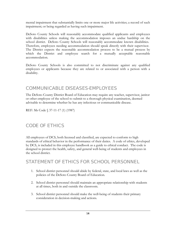<span id="page-16-0"></span>mental impairment that substantially limits one or more major life activities; a record of such impairment; or being regarded as having such impairment.

DeSoto County Schools will reasonably accommodate qualified applicants and employees with disabilities unless making the accommodation imposes an undue hardship on the school district. DeSoto County Schools will reasonably accommodate known disabilities. Therefore, employees needing accommodation should speak directly with their supervisor. The District expects the reasonable accommodation process to be a mutual process by which the District and employee search for a mutually acceptable reasonable accommodation.

DeSoto County Schools is also committed to not discriminate against any qualified employees or applicants because they are related to or associated with a person with a disability.

#### COMMUNICABLE DISEASES-EMPLOYEES

The DeSoto County District Board of Education may require any teacher, supervisor, janitor or other employee of the school to submit to a thorough physical examination, deemed advisable to determine whether he has any infectious or communicable disease.

REF: Ms Code § 37-11-17 (1) (1987)

# CODE OF ETHICS

All employees of DCS, both licensed and classified, are expected to conform to high standards of ethical behavior in the performance of their duties. A code of ethics, developed by DCS, is included in this employee handbook as a guide to ethical conduct. The code is designed to protect the health, safety, and general well-being of students and employees in the school district.

#### STATEMENT OF ETHICS FOR SCHOOL PERSONNEL

- 1. School district personnel should abide by federal, state, and local laws as well as the policies of the DeSoto County Board of Education.
- 2. School district personnel should maintain an appropriate relationship with students at all times, both in and outside the classroom.
- 3. School district personnel should make the well-being of students their primary consideration in decision-making and actions.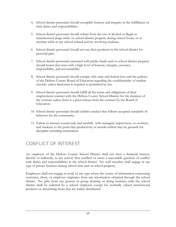- <span id="page-17-0"></span>4. School district personnel should exemplify honesty and integrity in the fulfillment of their duties and responsibilities.
- 5. School district personnel should refrain from the use of alcohol or illegal or unauthorized drugs while on school district property during school hours, or at anytime while at any school-related activity involving students.
- 6. School district personnel should not use their positions in the school district for personal gain.
- 7. School district personnel entrusted with public funds and/or school district property should honor that trust with a high level of honesty, integrity, accuracy, responsibility, and accountability.
- 8. School district personnel should comply with state and federal laws and the policies of the DeSoto County Board of Education regarding the confidentiality of student records, unless disclosure is required or permitted by law.
- 9. School district personnel should fulfill all the terms and obligations of their employment contract with the DeSoto County School District for the duration of the contract unless there is a prior release from the contract by the Board of Education.
- 10. School district personnel should exhibit conduct that follows accepted standards of behavior for the community.
- 11. Failure to interact courteously and tactfully with managers/supervisors, co-workers, and students to the point that productivity or morale suffers may be grounds for discipline including termination.

# CONFLICT OF INTEREST

An employee of the DeSoto County School District shall not have a financial interest, directly or indirectly, in any activity that conflicts or raises a reasonable question of conflict with duties and responsibilities in the school district. No staff member shall engage in any type of private business during school time and on school property.

Employees shall not engage in work of any type where the source of information concerning customer, client, or employer originates from any information obtained through the school district. No gifts from any person or group desiring or doing business with the school district shall be solicited by a school employee except for normally valued instructional products or advertising items that are widely distributed.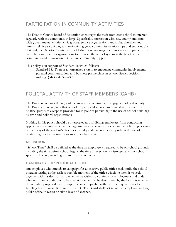# <span id="page-18-0"></span>PARTICIPATION IN COMMUNITY ACTIVITIES

The DeSoto County Board of Education encourages the staff from each school to interact regularly with the community at large. Specifically, interaction with city, county and statewide governmental entities, civic groups, service organizations and clubs, churches and parents relative to building and maintaining good community relationships and support. To that end, the DeSoto County Board of Education encourages administrators to participate in civic clubs and service organizations to promote the school system as the heart of the community and to maintain outstanding community support.

This policy is in support of Standard 18 which follows:

Standard 18. There is an organized system to encourage community involvement, parental communication, and business partnerships in school district decision making. {Ms Code 37-7-337}

# POLICTAL ACTIVITY OF STAFF MEMBERS (GAHB)

The Board recognizes the right of its employees, as citizens, to engage in political activity. The Board also recognizes that school property and school time should not be used for political purposes except as provided for in policies pertaining to the use of school buildings by civic and political organizations.

Nothing in this policy should be interpreted as prohibiting employees from conducting appropriate activities which encourage students to become involved in the political processes of the party of the student's choice or as independents, nor does it prohibit the use of political figures as resource persons in the classroom.

#### **DEFINITION**

"School Time" shall be defined as the time an employee is required to be on school grounds including the time before school begins, the time after school is dismissed and any schoolsponsored event, including extra-curricular activities.

#### **CANDIDACY FOR POLITICAL OFFICE**

Any employee who intends to campaign for an elective public office shall notify the school board in writing at the earliest possible moment of the office which he intends to seek, together with his decision as to whether he wishes to continue his employment and under what terms and conditions. The essential element to be determined by the Board is whether the activities proposed by the employee are compatible with the time requirements for fulfilling his responsibilities to the district. The Board shall not require an employee seeking public office to resign or take a leave of absence.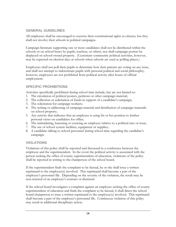#### **GENERAL GUIDELINES**

All employees shall be encouraged to exercise their constitutional rights as citizens, but they shall not involve their schools in political campaigns.

Campaign literature supporting one or more candidates shall not be distributed within the schools or on school buses by pupils, teachers, or others, nor shall campaign posters be displayed on school-owned property. (Customary community political activities, however, may be expected on election days at schools when schools are used as polling places.)

Employees shall not poll their pupils to determine how their parents are voting on any issue, and shall not attempt to indoctrinate pupils with personal political and social philosophy; however, employees are not prohibited from political activity after hours of official employment.

#### **SPECIFIC PROHIBITIONS**

Activities specifically prohibited during school time include, but are not limited to:

- 1. The circulation of political posters, petitions or other campaign material;
- 2. The collection or solicitation of funds in support of a candidate's campaign;
- 3. The solicitation for campaign workers;
- 4. The writing or addressing of campaign material and distribution of campaign materials on school property;
- 5. Any activity that indicates that an employee is using his or her position to further personal views on candidates for office;
- 6. The intimidating, harassing or coercing an employee relative to a political race or issue;
- 7. The use of school system facilities, equipment or supplies;
- 8. A candidate talking to school personnel during school time regarding the candidate's campaign.

#### **VIOLATIONS**

Violations of this policy shall be reported and discussed in a conference between the employee and the superintendent. In the event the political activity is associated with the person seeking the office of county superintendent of education, violations of the policy shall be reported in writing to the chairperson of the school board.

If the superintendent finds the complaint to be factual, he or she shall issue a written reprimand to the employee(s) involved. This reprimand shall become a part of the employee's personnel file. Depending on the severity of the violation, the result may be non-renewal of an employee's contract or dismissal.

If the school board investigates a complaint against an employee seeking the office of county superintendent of education and finds the complaint to be factual, it shall direct the school board chairperson to issue a written reprimand to the employee(s) involved. This reprimand shall become a part of the employee's personnel file. Continuous violation of this policy may result in additional disciplinary action.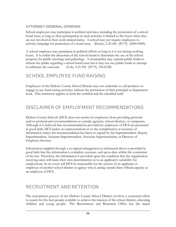#### <span id="page-20-0"></span>**ATTORNEY GENERAL OPINIONS**

School employees may participate in political activities, including the promotion of a school bond issue, as long as their participation in such activities is limited to the hours when they are not involved in their work-related duties. A school may not require employees to actively campaign for promotion of a bond issue. (Horne, 2-25-00) (#175) (2000-0085)

A school employee may participate in political efforts as long as it is not during working hours. It is within the discretion of the school board to determine the use of the school property for public meetings and gatherings. A municipality may expend public funds to inform the public regarding a school bond issue but it may not use public funds to attempt to influence the outcome. (Cole, 3-21-94) (#175) (94-0128)

# SCHOOL EMPLOYEE FUND RAISING

Employees of the DeSoto County School District may not undertake to sell products or engage in any fund raising activities without the permission of their principal or department head. This restriction applies to both the certified and the classified staff.

# DISCLAIMER OF EMPLOYMENT RECOMMENDATIONS

DeSoto County Schools (DCS) does not restrict its employees from providing personal and/or professional recommendations to outside agencies, school districts, or companies. Although it is believed that recommendations provided by employees of DCS are presented in good faith, DCS makes no representations as to the completeness or accuracy of information unless the recommendation has been co-signed by the Superintendent, Deputy Superintendent, Assistant Superintendent, Associate Superintendent, or Director of Employee Services.

Information supplied through a co-signed arrangement as referenced above is provided in good faith that the information is complete, accurate, and up-to-date within the constraints of the law. Therefore, the information is provided upon the condition that the organization receiving same will make their own determination as to an applicant's suitability for employment. In no event will DCS be responsible for the actions of an applicant or employee of another school district or agency who is acting outside their official capacity as an employee of DCS.

# RECRUITMENT AND RETENTION

The recruitment process of the DeSoto County School District involves a concerted effort to search for the best people available to achieve the mission of the school district, educating children and young people. The Recruitment and Retention Office has the major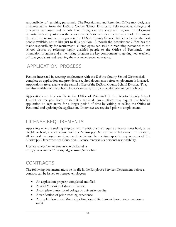<span id="page-21-0"></span>responsibility of recruiting personnel. The Recruitment and Retention Office may designate a representative from the DeSoto County School District to help recruit at college and university campuses and at job fairs throughout the state and region. Employment opportunities are posted on the school district's website as a recruitment tool. The major thrust of the recruitment program in the DeSoto County School District is to find the best people available, not to hire just to fill a position. Although the Recruitment Office has the major responsibility for recruitment, all employees can assist in recruiting personnel to the school district by referring highly qualified people to the Office of Personnel. An orientation program and a mentoring program are key components to getting new teachers off to a good start and retaining them as experienced educators.

# APPLICATION PROCESS

Persons interested in securing employment with the DeSoto County School District shall complete an application and provide all required documents before employment is finalized. Applications are available at the central office of the DeSoto County School District. They are also available on the school district's website, http://www.desotocountyschools.org.

Applications are kept on file in the Office of Personnel in the DeSoto County School District for one year from the date it is received. An applicant may request that his/her application be kept active for a longer period of time by writing or calling the Office of Personnel and updating the application. Interviews are required prior to employment.

#### LICENSE REQUIREMENTS

Applicants who are seeking employment in positions that require a license must hold, or be eligible to hold, a valid license from the Mississippi Department of Education. In addition, all licensed employees must renew their license by meeting specific requirements of the Mississippi Department of Education. License renewal is a personal responsibility.

License renewal requirements can be found at http://www.mde.k12.ms.us/ed\_licensure/index.html

# **CONTRACTS**

The following documents must be on file in the Employee Services Department before a contract can be issued to licensed employees:

- An application properly completed and filed
- A valid Mississippi Educator License
- A complete transcript of college or university credits
- A verification of prior teaching experience
- An application to the Mississippi Employees' Retirement System (new employees only)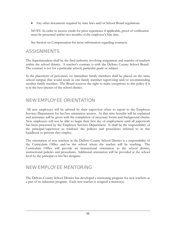<span id="page-22-0"></span>• Any other documents required by state laws and/or School Board regulations

NOTE: In order to receive credit for prior experience if applicable, proof of verification must be presented within two months of the employee's hire date.

See Section on Compensation for more information regarding contracts.

#### ASSIGNMENTS

The Superintendent shall be the final authority involving assignment and transfer of teachers within the school district. A teacher's contract is with the DeSoto County School Board. The contract is not for a particular school, particular grade or subject.

In the placement of personnel, no immediate family members shall be placed on the same school campus that would result in one family member supervising and/or recommending another family member. The Board reserves the right to make exceptions to this policy if it is in the best interest of the school district.

#### NEW EMPLOYEE ORIENTATION

 All new employees will be advised by their supervisor when to report to the Employee Services Department for his/her orientation session. At that time benefits will be explained and assistance will be given with the completion of necessary forms and background checks. New employees will not be able to begin their first day of employment until all paperwork has been processed by the Employee Services Department. It shall be the responsibility of the principal/supervisor to reinforce the policies and procedures referred to in this handbook to persons they employ.

The orientation of new teachers in the DeSoto County School District is a responsibility of the Curriculum Office and/or the school where the teacher will be teaching. The Curriculum Office will provide an instructional orientation to the school district, instructional policies and procedures. Additional orientation will be provided at the school level by the principal or his/her designee.

#### NEW EMPLOYEE MENTORING

The DeSoto County School District has developed a mentoring program for new teachers as a part of its induction program. Each new teacher is assigned a mentor(s).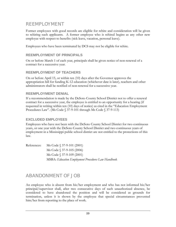#### <span id="page-23-0"></span>REEMPLOYMENT

Former employees with good records are eligible for rehire and consideration will be given to rehiring such applicants. A former employee who is rehired begins as any other new employee with respect to benefits (sick leave, vacation, personal leave).

Employees who have been terminated by DCS may not be eligible for rehire.

#### **REEMPLOYMENT OF PRINCIPALS**

On or before March 1 of each year, principals shall be given notice of non-renewal of a contract for a successive year.

#### **REEMPLOYMENT OF TEACHERS**

On or before April 15, or within ten (10) days after the Governor approves the appropriation bill for funding K-12 education (whichever date is later), teachers and other administrators shall be notified of non-renewal for a successive year.

#### **REEMPLOYMENT DENIAL**

If a recommendation is made by the DeSoto County School District not to offer a renewal contract for a successive year, the employee is entitled to an opportunity for a hearing (if requested in writing within ten (10) days of notice) as cited in the "Education Employment Procedures Law". (Ms Code § 37-9-101 through Ms Code § 37-9-113)

#### **EXCLUDED EMPLOYEES**

Employees who have not been with the DeSoto County School District for two continuous years, or one year with the DeSoto County School District and two continuous years of employment in a Mississippi public school district are not entitled to the protections of this law.

| References: | Ms Code $$37-9-101 (2001)$                                 |
|-------------|------------------------------------------------------------|
|             | Ms Code $\$37-9-105(2006)$                                 |
|             | Ms Code $\S 37-9-109(2001)$                                |
|             | <b>MSBA</b> : Education Employment Procedures Law Handbook |

#### ABANDONMENT OF JOB

An employee who is absent from his/her employment and who has not informed his/her principal/supervisor shall, after two consecutive days of such unauthorized absence, be considered to have abandoned the position and will be considered as grounds for termination, unless it is shown by the employee that special circumstances prevented him/her from reporting to the place of work.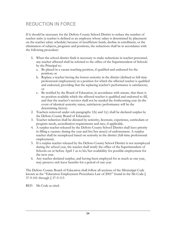# <span id="page-24-0"></span>REDUCTION IN FORCE

If it should be necessary for the DeSoto County School District to reduce the number of teacher units (a teacher is defined as an employee whose salary is determined by placement on the teacher salary schedule) because of insufficient funds, decline in enrollment, or the elimination of subjects, programs and positions, the reductions shall be in accordance with the following procedure:

- 1. When the school district finds it necessary to make reductions in teacher personnel, any teacher affected shall be referred to the office of the Superintendent of Schools by the Principal to:
	- a. Be placed in a vacant teaching position, if qualified and endorsed for the position; or
	- b. Replace a teacher having the lowest seniority in the district (defined as full-time professional employment) in a position for which the affected teacher is qualified and endorsed, providing that the replacing teacher's performance is satisfactory; or
	- c. Be notified by the Board of Education, in accordance with statute, that there is no position available which the affected teacher is qualified and endorsed to fill, and that the teacher's services shall not be needed the forthcoming year (in the event of identical seniority status, satisfactory performance will be the determining factor).
- 2. Teachers removed under sub-paragraphs 1(b) and 1(c) shall be declared surplus by the DeSoto County Board of Education.
- 3. Teacher reduction shall be dictated by seniority, licensure, experience, curriculum or program needs, accreditation requirements and race, if applicable.
- 4. A surplus teacher released by the DeSoto County School District shall have priority in filling a vacancy during the year and his/her area(s) of endorsement. A surplus teacher shall be reemployed based on seniority in the district (full-time professional employment).
- 5. If a surplus teacher released by the DeSoto County School District is not reemployed during the school year, the teacher shall notify the office of the Superintendent of Schools on or before April 1 as to his/her availability for possible employment for the next year.
- 6. Any teacher declared surplus, and having been employed for as much as one year, may preserve sick leave benefits for a period of one year.

The DeSoto County Board of Education shall follow all sections of the Mississippi Code known as the "Education Employment Procedures Law of 2001" found in the Ms Code § 37-9-101 through § 37-9-113

REF: Ms Code as cited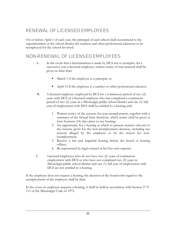# <span id="page-25-0"></span>RENEWAL OF LICENSED EMPLOYEES

On or before April 1 of each year, the principal of each school shall recommend to the superintendent of the school district the teachers and other professional educators to be reemployed for the school involved.

#### NON-RENEWAL OF LICENSED EMPLOYEES

- A. In the event that a determination is made by DCS not to reemploy for a successive year a licensed employee, written notice of non-renewal shall be given no later than:
	- March 1 if the employee is a principal, or
	- April 15 if the employee is a teacher or other professional educator.
- B. A licensed employee employed by DCS for a continuous period of two (2) years with DCS or a licensed employee who has completed a continuous period of two (2) years in a Mississippi public school district and one (1) full year of employment with DCS shall be entitled to a hearing and:
	- 1. Written notice of the reasons for non-reemployment, together with a summary of the factual basis therefore, which notice shall be given at least fourteen (14) days prior to any hearing;
	- 2. An opportunity for a hearing at which to present matters relevant to the reasons given for the non-reemployment decision, including any reasons alleged by the employee to be the reason for nonreemployment;
	- 3. Receive a fair and impartial hearing before the board or hearing officer;
	- 4. Be represented by legal counsel at his/her own expense.
- C. Licensed employees who do not have two (2) years of continuous employment with DCS or who have not completed two (2) years in Mississippi public school district and one (1) full year of employment with DCS are not entitled to a hearing.

If the employee does not request a hearing, the decision of the board with regard to the reemployment of the employee shall be final.

In the event an employee requests a hearing, it shall be held in accordance with Section 37-9- 111 of the Mississippi Code of 1972.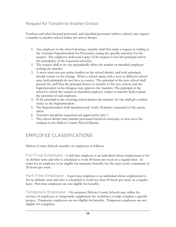#### <span id="page-26-0"></span>Request for Transfer to Another School

Teachers and other licensed personnel, and classified personnel within a school, may request a transfer to another school within the school district.

- 1. Any employee in the school desiring a transfer shall first make a request in writing to the Assistant Superintendent for Personnel, stating the specific reason(s) for the request. The employee shall send copies of the request to his/her principal and to the principal(s) of the requested school(s).
- 2. The request shall in no way prejudicially affect the teacher or classified employee seeking the transfer.
- 3. A move must not put undue burden on the school district, and both principals should concur on the change. When a school opens with a new or different school area, both principals do not have to concur. The principal of the new school shall present the staff that the principal desires to transfer to the new school, and the Superintendent or his designee may approve the transfers. The principal of the school to which the teacher or classified employee wishes to transfer shall evaluate the potential of said employee.
- 4. If the principal in the receiving school desires the transfer, he/she shall give written notice to the Superintendent.
- 5. The Superintendent shall simultaneously notify all parties concerned of the action taken.
- 6. Transfers should be requested and approved by July 1.
- 7. The school district may transfer personnel whenever necessary to best serve the students in the DeSoto County School District.

# EMPLOYEE CLASSIFICATIONS

DeSoto County Schools classifies its employees as follows:

Full-Time Employee - A full-time employee is an individual whose employment is for no definite term and who is scheduled to work 40 hours per week on a regular basis. In order for an employee to be eligible for insurance benefits, he/she must work a minimum of 20 hours per week.

**Part-Time Employee** - A part-time employee is an individual whose employment is for no definite term and who is scheduled to work less than 20 hours per week on a regular basis. Part-time employees are not eligible for benefits.

Temporary Employee – On occasion, DeSoto County Schools may utilize the services of employees to temporarily supplement the workforce or help complete a specific project. Temporary employees are not eligible for benefits. Temporary employees are not eligible for comptime.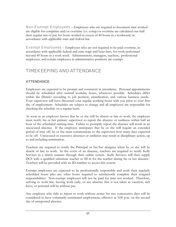<span id="page-27-0"></span>Non-Exempt Employees – Employees who are required to document time worked are eligible for comptime and/or overtime (i.e. comp/or overtime are calculated one-half their regular rate of pay for hours worked in excess of 40 hours in a workweek) in accordance with applicable state and federal law.

Exempt Employees – Employees who are not required to be paid overtime, in accordance with applicable federal and state wage and hour laws, for work performed beyond 40 hours in a work week. Administrators, managers, teachers, professional employees, and certain employees in administrative positions are exempt.

#### TIMEKEEPING AND ATTENDANCE

#### **ATTENDANCE**

Employees are expected to be prompt and consistent in attendance. Personal appointments should be scheduled after normal workday hours, whenever possible. Schedules differ within the District according to job position, classification, and various business needs. Your supervisor will have discussed your regular working hours with you prior to your first day of employment. Schedules are subject to change and all employees are responsible for checking the schedule on a regular basis.

As soon as an employee knows that he or she will be absent or late to work, the employee must notify his or her primary supervisor to report the absence or tardiness within half an hour of the scheduled starting time. Failure to promptly report the absence will result in an unexcused absence. If the employee anticipates that he or she will require an extended period of time off, he or she must communicate to the supervisor how many days expected to be off. Unexcused or excessive absences or tardiness may result in disciplinary action, up to and including termination.

Teachers are required to notify the Principal or his/her designee when he or she will be absent or late to work. In the event of an absence, teachers are required to notify Kelly Services in a timely manner through their online system. Kelly Services will then supply DCS with a qualified substitute teacher to fill in for the teacher during his or her absence. Teachers will be provided with an ID number to access this system.

Exempt employees are expected to be professionally responsible and work their regularly scheduled hours plus any other hours required to satisfactorily complete their assigned responsibilities. Non-exempt employees will not be paid for time not worked. Therefore, arriving to work late, leaving work early, or any absence that is not taken as vacation, sick leave, or personal will be without pay.

Any employee who fails to report to work without notice for two consecutive days will be considered to have voluntarily terminated employment, effective at 5:00 p.m. on the second day of unreported absence.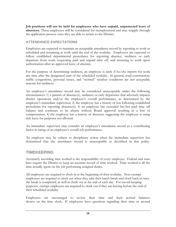**Job positions will not be held for employees who have unpaid, unprotected leave of absences.** These employees will be considered for reemployment and may reapply through the application process once they are able to return to the District.

#### **ATTENDANCE EXPECTATIONS**

Employees are expected to maintain an acceptable attendance record by reporting to work as scheduled and remaining at work until the end of the workday. Employees are expected to follow established departmental procedures for reporting absence, tardiness or early departure from work, requesting paid and unpaid time off, and returning to work upon authorization after an approved leave of absence.

For the purpose of determining tardiness, an employee is tardy if he/she reports for work any time after the designated start of the scheduled workday. In general, road construction, traffic congestions, personal issues, and "normal" weather conditions are not acceptable reasons for tardiness.

An employee's attendance record may be considered unacceptable under the following circumstances: 1) a pattern of absence(s), tardiness or early departures that adversely impacts district operations and/or the employee's overall performance, as determined by the employee's immediate supervisor; 2) the employee has a history of not following established procedures for reporting absence(s); 3) an employee has exceeded his/her paid time off balance and continues to be absent without Board approval resulting in a loss of compensation; 4) the employee has a history of absences suggesting the employee is using sick leave for purposes not allowed.

An immediate supervisor may consider an employee's attendance record as a contributing factor in rating of an employee's overall job performance.

An employee may be subject to disciplinary action when the immediate supervisor has determined that the attendance record is unacceptable as described in this policy.

#### **TIMEKEEPING**

Accurately recording time worked is the responsibility of every employee. Federal and state laws require the District to keep an accurate record of time worked. Time worked is all the time actually spent on the job performing assigned duties.

All employees are required to clock in at the beginning of their workday. Non-exempt employees are required to clock out when they take their lunch break and clock back in once the break is completed, as well as clock out at the end of each day. For record keeping purposes, exempt employees are required to clock out if they are leaving before the end of their scheduled workday.

Employees are encouraged to review their time and their accrual balances shown on the time clock. If employees have questions regarding their time or accrual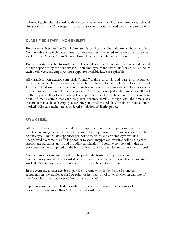balance, he/she should speak with the Timekeeper for their location. Employees should also speak with the Timekeeper if corrections or modifications need to be made to the time record.

#### **CLASSIFIED STAFF – NON-EXEMPT**

Employees subject to the Fair Labor Standards Act shall be paid for all hours worked. Compensable time includes all time that an employee is required to be on duty. The work week for the DeSoto County School District begins on Sunday and ends on Saturday.

Employees are expected to work their full schedule each week and are to arrive and depart at the time specified by their supervisor. If an employee cannot work his/her scheduled hours each work week, the employee must apply for available leave, if applicable.

All classified, non-exempt staff shall "punch" a time clock (in and out) as to accurately record their actual hours worked each day while in the employ of the DeSoto County School District. The district uses a biometric punch system which requires the employee to key in his/her employee ID number and to place his/her finger on a pad at the time clock. It shall be the responsibility of each principal or department head of each school or department to train and make certain that each employee becomes familiar enough with the time clock system so that each such employee accurately and truly records his/her time for actual hours worked. Missed punches are considered a violation of district policy.

#### **OVERTIME**

All overtime must be pre-approved by the employee's immediate supervisor except in the event of an emergency as verified by the immediate supervisor. Overtime not approved by an employee's immediate supervisor will not be tolerated and any employee working unapproved overtime or suffering another to work unapproved overtime will be subject to appropriate sanctions, up to and including termination. Overtime compensation due an employee shall be computed on the basis of hours worked over 40 hours in each work week.

Compensation for overtime work will be paid in the form of compensatory time. Compensatory time shall be awarded on the basis of 1-1/2 hours for each hour of overtime worked. No employee shall accumulate more than 160 overtime hours.

In the event the district decides to pay for overtime work in the form of monetary remuneration, the employee shall be paid not less than 1-1/2 times his/her regular rate of pay for all hours worked over 40 hours in a work week.

Supervisors may adjust schedules within a work week to prevent the necessity of an employee working more than 40 hours in that work week.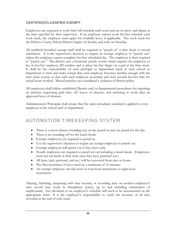#### <span id="page-30-0"></span>**CERTIFIED/CLASSIFIED EXEMPT**

Employees are expected to work their full schedule each week and are to arrive and depart at the time specified by their supervisor. If an employee cannot work his/her schedule each work week, the employee must apply for available leave, if applicable. The work week for the DeSoto County School District begins on Sunday and ends on Saturday.

All certified/classified exempt staff shall be required to "punch in" a time clock to record attendance. It is the supervisor's decision to require an exempt employee to "punch out" unless the employee cannot complete his/her scheduled day. The employee is then required to "punch out." The district uses a biometric punch system which requires the employee to key in his/her employee ID number and to place his/her finger on a pad at the time clock. It shall be the responsibility of each principal or department head of each school or department to train and make certain that each employee becomes familiar enough with the time clock system so that each such employee accurately and truly records his/her time for actual hours worked. Missed punches are considered a violation of district policy.

All employees shall follow established District and/or departmental procedures for reporting an absence, requesting paid time off, leaves of absence, and returning to work after an approved leave of absence.

Administrators/Principals shall ensure that the same attendance standard is applied to every employee in the school and/or department.

# AUTOMATION TIMEKEEPING SYSTEM

- There is a seven-minute rounding rule on the punch in and out punch for the day.
- There is no rounding off for the lunch break.
- Exempt employees are required to punch in.
- It is the supervisor's decision to require an exempt employee to punch out.
- Exempt employees will punch out if they leave early.
- Hourly employees are required to punch in/out including a lunch break. (Employees must not eat lunch at their desk once they have punched out.)
- All leave (sick, personal, and etc.) will be converted from days to hours.
- The first increment of leave must be a minimum of 15 minutes.
- An exempt employee can take leave in four-hour increments or eight-hour increments.

Altering, falsifying, tampering with time records, or recording time on another employee's time record may result in disciplinary action, up to and including termination of employment. Any deviation to an employee's schedule will need to be documented on the appropriate form. It is the employee's responsibility to verify the accuracy of all time recorded at the end of each week.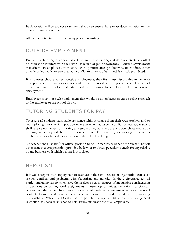<span id="page-31-0"></span>Each location will be subject to an internal audit to ensure that proper documentation on the timecards are kept on file.

All compensated time must be pre-approved in writing.

# OUTSIDE EMPLOYMENT

Employees choosing to work outside DCS may do so as long as it does not create a conflict of interest or interfere with their work schedule or job performance. Outside employment that affects an employee's attendance, work performance, productivity, or conduct, either directly or indirectly, or that creates a conflict of interest of any kind, is strictly prohibited.

If employees choose to seek outside employment, they first must discuss this matter with their principal or primary supervisor and receive approval of their plans. Schedules will not be adjusted and special considerations will not be made for employees who have outside employment.

Employees must not seek employment that would be an embarrassment or bring reproach to the employee or the school district.

# TUTORING STUDENTS FOR PAY

To assure all students reasonable assistance without charge from their own teachers and to avoid placing a teacher in a position where he/she may have a conflict of interest, teachers shall receive no money for tutoring any student they have in class or upon whose evaluation or assignment they will be called upon to make. Furthermore, no tutoring for which a teacher receives a fee will be carried on in the school building.

No teacher shall use his/her official position to obtain pecuniary benefit for himself/herself other than that compensation provided by law, or to obtain pecuniary benefit for any relative or any business with which he/she is associated.

# NEPOTISM

It is well accepted that employment of relatives in the same area of an organization can cause serious conflicts and problems with favoritism and morale. In these circumstances, all parties, including supervisors, leave themselves open to charges of inequitable consideration in decisions concerning work assignments, transfer opportunities, demotions, disciplinary actions and discharge. In addition to claims of preferential treatment at work, personal conflicts from outside the work environment can be carried into day-to-day working relationships. While the District has no prohibition against hiring relatives, one general restriction has been established to help assure fair treatment of all employees.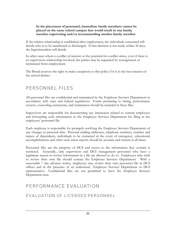#### <span id="page-32-0"></span>**In the placement of personnel, immediate family members cannot be placed on the same school campus that would result in one family member supervising and/or recommending another family member.**

If the relative relationship is established after employment, the individuals concerned will decide who is to be transferred or discharged. If that decision is not made within 30 days, the Superintendent will decide.

In other cases where a conflict of interest or the potential for conflict arises, even if there is no supervisory relationship involved, the parties may be separated by reassignment or terminated from employment.

The Board reserves the right to make exceptions to this policy if it is in the best interest of the school district.

#### PERSONNEL FILES

All personnel files are confidential and maintained by the Employee Services Department in accordance with state and federal regulations. Forms pertaining to hiring, performance reviews, counseling statements, and termination should be included in these files.

Supervisors are responsible for documenting any interaction related to current employees and forwarding such information to the Employee Services Department for filing in the employees' personnel file.

Each employee is responsible for promptly notifying the Employee Services Department of any changes in personal data. Personal mailing addresses, telephone numbers, number and names of dependents, individuals to be contacted in the event of emergency, educational accomplishments and other such status reports should be accurate and current at all times.

Personnel files are the property of DCS and access to the information they contain is restricted. Generally, only supervisors and DCS management personnel who have a legitimate reason to review information in a file are allowed to do so. Employees who wish to review their own file should contact the Employee Services Department. With a reasonable 7 day advance notice, employees may review their own personnel file in DCS offices and in the presence of an authorized Employee Services Department or DCS representative. Confidential files are not permitted to leave the Employee Services Department area.

# PERFORMANCE EVALUATION

#### EVALUATION OF LICENSED PERSONNEL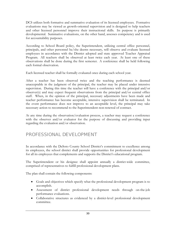<span id="page-33-0"></span>DCS utilizes both formative and summative evaluation of its licensed employees. Formative evaluations may be viewed as growth-oriented supervision and is designed to help teachers and other licensed personnel improve their instructional skills. Its purpose is primarily developmental. Summative evaluations, on the other hand, assesses competency and is used for accountability purposes.

According to School Board policy, the Superintendent, utilizing central office personnel, principals, and other personnel he/she deems necessary, will observe and evaluate licensed employees in accordance with the District adopted and state approved Teacher Appraisal Program. All teachers shall be observed at least twice each year. At least one of these observations shall be done during the first semester. A conference shall be held following each formal observation.

Each licensed teacher shall be formally evaluated once during each school year.

After a teacher has been observed twice and the teaching performance is deemed unacceptable in the judgment of the principal, the teacher may be placed under intensive supervision. During this time the teacher will have a conference with the principal and/or observer(s) and may expect frequent observations from the principal and/or central office staff. When, in the opinion of the principal, necessary adjustments have been made and teacher performance has become acceptable, intensive supervision shall be terminated. In the event performance does not improve to an acceptable level, the principal may take necessary action to recommend to the Superintendent non-renewal of contract.

At any time during the observation/evaluation process, a teacher may request a conference with the observer and/or evaluator for the purpose of discussing and providing input regarding the evaluation and/or observation.

# PROFESSIONAL DEVELOPMENT

In accordance with the DeSoto County School District's commitment to excellence among its employees, the school district shall provide opportunities for professional development for all its employees that complements and supports the District's educational program.

The Superintendent or his designee shall appoint annually a district-wide committee, comprised of representatives to fulfill professional development plans.

The plan shall contain the following components:

- Goals and objectives which specify what the professional development program is to accomplish.
- Assessment of district professional development needs through on-the-job performance evaluations.
- Collaborative structures as evidenced by a district-level professional development committee.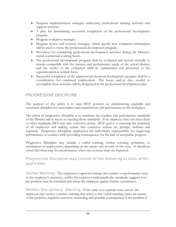- <span id="page-34-0"></span>• Program implementation strategies addressing professional training activities and support activities.
- A plan for determining successful completion of the professional development program.
- Program evaluation strategies.
- Program review and revision strategies, which specify how evaluation information will be used to revise the professional development program.
- Provisions for conducting professional development activities during the District's stated contractual working hours.
- The professional development program shall be evaluated and revised annually to remain compatible with the mission and performance needs of the school district, and the results of the evaluation shall be summarized and presented to the superintendent in written form.
- Successful completion of the approved professional development program shall be a consideration for continued employment. The hours and/or days needed to accomplish these activities will be designated in the professional development plan.

#### PROGRESSIVE DISCIPLINE

The purpose of this policy is to state DCS' position on administering equitable and consistent discipline for misconduct and unsatisfactory job performance in the workplace.

The intent of progressive discipline is to reinforce the conduct and performance standards of the District and to focus on meeting those standards. If an employee does not meet these or other standards, DCS may take corrective action. DCS' goal is to ensuring fair treatment of all employees and making certain that corrective actions are prompt, uniform and impartial. Progressive Discipline emphasizes the individual's responsibility for improving performance or conduct while providing consequences for the lack of acceptable progress.

Progressive Discipline may include a verbal warning, written warning, probation, or termination of employment, depending on the nature and severity of the issue. It should be noted that there may be circumstances when one or more steps are bypassed.

Progressive Discipline may consist of the following actions when applicable:

Verbal Warning - The employee's supervisor brings the conduct or performance issue to the employee's attention, verifies the employee understands the standards, suggests how the problem may be remedied and warns the employee against further occurrences.

Written Disciplinary Warning - If the same or a separate issue occurs, the employee may receive a written warning that refers to the verbal warning, states the nature of the problem, required corrective counseling and possible consequences if the problem is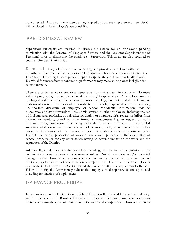<span id="page-35-0"></span>not corrected. A copy of the written warning (signed by both the employee and supervisor) will be placed in the employee's personnel file.

#### PRE- DISMISSAL REVIEW

Supervisors/Principals are required to discuss the reason for an employee's pending termination with the Director of Employee Services and the Assistant Superintendent of Personnel prior to dismissing the employee. Supervisors/Principals are also required to submit a Pre-Termination List.

**Dismissal** - The goal of corrective counseling is to provide an employee with the opportunity to correct performance or conduct issues and become a productive member of DCS' team. However, if issues persist despite discipline, the employee may be dismissed. Dismissal for unsatisfactory conduct or performance may make an employee ineligible for re-employment.

There are certain types of employee issues that may warrant termination of employment without progressing through the outlined corrective/discipline steps. An employee may be discharged without notice for serious offenses including, but not limited to, failure to perform adequately the duties and responsibilities of the job; frequent absences or tardiness; unauthorized disclosure of employee or school confidential information; rude or discourteous behavior towards visitors, administration or other employees, including the use of foul language, profanity, or vulgarity; solicitation of gratuities, gifts, rebates or bribes from visitors, or vendors; sexual or other forms of harassment; flagrant neglect of work; insubordination; possession of or being under the influence of alcohol or a controlled substance while on school business or school premises; theft; physical assault on a fellow employee; falsification of any records, including time sheets, expense reports or other District documents; possession of weapons on school premises; willful destruction of school property; or for any other action having an adverse impact on the work and the reputation of the District.

Additionally, conduct outside the workplace including, but not limited to, violation of the law and/or actions that may involve material risk to District operations and/or potential damage to the District's reputation/good standing in the community may give rise to discipline, up to and including termination of employment. Therefore, it is the employee's responsibility to inform the District immediately of convictions of any criminal offenses. Failure to notify the District may subject the employee to disciplinary action, up to and including termination of employment.

# GRIEVANCE PROCEDURE

Every employee in the DeSoto County School District will be treated fairly and with dignity, and it is the belief of the Board of Education that most conflicts and misunderstandings can be resolved through open communication, discussion and compromise. However, when an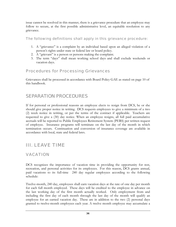issue cannot be resolved in this manner, there is a grievance procedure that an employee may follow to secure, at the first possible administrative level, an equitable resolution to any grievance.

The following definitions shall apply in this grievance procedure:

- 1. A "grievance" is a complaint by an individual based upon an alleged violation of a person's rights under state or federal law or board policy.
- 2. A "grievant" is a person or persons making the complaint.
- 3. The term "days" shall mean working school days and shall exclude weekends or vacation days.

## Procedures for Processing Grievances

Grievances shall be processed in accordance with Board Policy GAE as stated on page 10 of this handbook.

# SEPARATION PROCEDURES

If for personal or professional reasons an employee elects to resign from DCS, he or she should give proper notice in writing. DCS requests employees to give a minimum of a two (2) week notice in writing, or per the terms of the contract if applicable. Teachers are requested to give a (30) day notice. When an employee resigns, all full paid accumulative accruals will be reported to Public Employees Retirement System (PERS) per written request of employee. Insurance programs will terminate on the last day of the month in which termination occurs. Continuation and conversion of insurance coverage are available in accordance with local, state and federal laws.

# III. LEAVE TIME

## VACATION

DCS recognizes the importance of vacation time in providing the opportunity for rest, recreation, and personal activities for its employees. For this reason, DCS grants annual, paid vacations to its full-time 240 day regular employees according to the following schedule:

Twelve-month, 240 day, employees shall earn vacation days at the rate of one day per month for each full month employed. These days will be credited to the employee in advance on the last working day of the first month actually worked. Only employment from and including the first day of each month through the last day of the month will qualify an employee for an earned vacation day. These are in addition to the two (2) personal days granted to twelve-month employees each year. A twelve month employee may accumulate a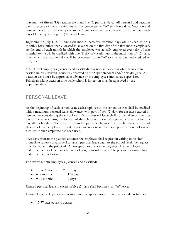maximum of fifteen (15) vacation days and five (5) personal days. All personal and vacation days in excess of these maximums will be converted to "A" sick leave days. Vacation and personal leave for non-exempt (classified) employee will be converted to hours with each day of leave equal to eight (8) hours of leave.

Beginning on July 1, 2007, and each month thereafter, vacation days will be accrued on a monthly basis rather than allocated in advance on the first day of the first month employed. At the end of each month in which the employee was actually employed every day of that month, he/she will be credited with one (1) day of vacation up to the maximum of (15) days, after which the vacation day will be converted to an "A" sick leave day and credited to him/her.

School level employees (licensed and classified) may not take vacation while school is in session unless a written request is approved by the Superintendent and/or his designee. All vacation days must be approved in advance by the employee's immediate supervisor. Principals taking vacation time while school is in session must be approved by the Superintendent.

# PERSONAL LEAVE

At the beginning of each school year, each employee in the school district shall be credited with a maximum personal leave allowance, with pay, of two (2) days for absences caused by personal reasons during the school year. Such personal leave shall not be taken on the first day of the school term, the last day of the school term, on a day previous to a holiday or a day after a holiday. No deduction from the pay of such employee may be made because of absence of such employee caused by personal reasons until after all personal leave allowance credited to such employee has been used.

Two days prior to the planned absence, the employee shall request in writing to his/her immediate supervisor approval to take a personal leave day. At the school level, the request must be made to the principal. An exception to this is an emergency. If an employee is under contract for less than a full school year, personal leave will be prorated for total days under contract as follows:

For twelve month employees (licensed and classified)

- Up to 6 months  $= 1$  day
- 6-9 months  $= 1 \frac{1}{2} \text{ days}$
- $9-12$  months  $= 2$  days

Unused personal leave in excess of five (5) days shall become sick "A" leave.

Unused leave (sick, personal, vacation) may be applied toward retirement credit as follows:

• 15-77 days equals 1 quarter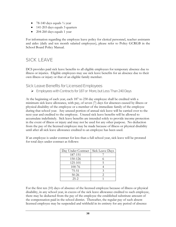- 78-140 days equals  $\frac{1}{2}$  year
- 141-203 days equals 3 quarters
- 204-260 days equals 1 year

For information regarding the employee leave policy for clerical personnel, teacher assistants and aides (daily and ten month salaried employees), please refer to Policy GCRGB in the School Board Policy Manual.

## SICK LEAVE

DCS provides paid sick leave benefits to all eligible employees for temporary absence due to illness or injuries. Eligible employees may use sick leave benefits for an absence due to their own illness or injury or that of an eligible family member.

#### Sick Leave Benefits for Licensed Employees

¾ Employees with Contracts for 187 or More, but Less Than 240 Days

At the beginning of each year, each 187 to 230 day employee shall be credited with a minimum sick leave allowance, with pay, of seven (7) days for absences caused by illness or physical disability of the employee or a member of the immediate family of the employee during that school year. Any unused portion of annual sick leave will be carried over to the next year and credited to the employee. Unused sick leave benefits will be allowed to accumulate indefinitely. Sick leave benefits are intended solely to provide income protection in the event of illness or injury and may not be used for any other purpose. No deduction from the pay of the licensed employee may be made because of illness or physical disability until after all sick leave allowance credited to an employee has been used.

If an employee is under contract for less than a full school year, sick leave will be prorated for total days under contract as follows:

| Day Under Contract | Sick Leave Days |  |
|--------------------|-----------------|--|
| 187-151            |                 |  |
| 150-126            |                 |  |
| 125-101            | 5               |  |
| 100-76             |                 |  |
| $75 - 51$          | 3               |  |
| $50 - 26$          | 2               |  |
| $25 - 2$           |                 |  |

For the first ten (10) days of absence of the licensed employee because of illness or physical disability, in any school year, in excess of the sick leave allowance credited to such employee, there may be deducted from the pay of the employee the established substitute amount of the compensation paid in the school district. Thereafter, the regular pay of such absent licensed employee may be suspended and withheld in its entirety for any period of absence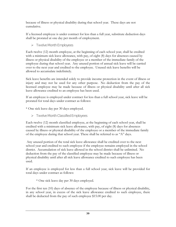because of illness or physical disability during that school year. These days are not cumulative.

If a licensed employee is under contract for less than a full year, substitute deduction days shall be prorated at one day per month of employment.

### $\triangleright$  Twelve Month Employees

Each twelve (12) month employee, at the beginning of each school year, shall be credited with a minimum sick leave allowance, with pay, of eight (8) days for absences caused by illness or physical disability of the employee or a member of the immediate family of the employee during that school year. Any unused portion of annual sick leave will be carried over to the next year and credited to the employee. Unused sick leave benefits will be allowed to accumulate indefinitely.

Sick leave benefits are intended solely to provide income protection in the event of illness or injury and may not be used for any other purpose. No deduction from the pay of the licensed employee may be made because of illness or physical disability until after all sick leave allowance credited to an employee has been used.

If an employee is employed under contract for less than a full school year, sick leave will be prorated for total days under contract as follows:

\* One sick leave day per 30 days employed.

 $\triangleright$  Twelve Month Classified Employees

Each twelve (12) month classified employee, at the beginning of each school year, shall be credited with a minimum sick leave allowance, with pay, of eight (8) days for absences caused by illness or physical disability of the employee or a member of the immediate family of the employee during that school year. These shall be referred to as "A" days.

 Any unused portion of the total sick leave allowance shall be credited over to the next school year and credited to such employee if the employee remains employed in the school district. Accumulation of sick leave allowed in the school district shall be unlimited. No deduction from the pay of the classified employee may be made because of illness or physical disability until after all sick leave allowance credited to such employee has been used.

If an employee is employed for less than a full school year, sick leave will be provided for total days under contract as follows:

\* One sick leave day per 30 days employed.

For the first ten (10) days of absence of the employee because of illness or physical disability, in any school year, in excess of the sick leave allowance credited to such employee, there shall be deducted from the pay of such employee \$15.00 per day.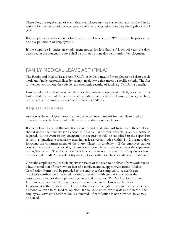Thereafter, the regular pay of such absent employee may be suspended and withheld in its entirety for any period of absence because of illness or physical disability during that school year.

If an employee is under contract for less than a full school year, "B" days shall be prorated at one pay per month of employment.

If the employee is under an employment notice for less than a full school year, the days described in the paragraph above shall be prorated at one day per month of employment.

# FAMILY MEDICAL LEAVE ACT (FMLA)

The Family and Medical Leave Act (FMLA) provides a means for employees to balance their work and family responsibilities by taking unpaid leave that meets a specific criteria. The Act is intended to promote the stability and economic security of families. FMLA is a benefit.

Family and medical leave may be taken for the birth or adoption of a child; placement of a foster child; the care of the serious health condition of a seriously ill parent, spouse, or child; or the care of the employee's own serious health condition.

#### Request Procedures

As soon as the employee knows that he or she will need time off for a family or medical leave of absence, he/she should follow the procedures outlined below:

If an employee has a health condition or injury and needs time off from work, the employee should notify their supervisor as soon as possible. Whenever possible, a 30-day notice is required. In the event of any emergency, the request should be submitted to the supervisor as soon as practicable (ordinarily meaning at least verbal notice within 1 - 2 business days following the commencement of the injury, illness, or disability). If the employee cannot contact the supervisor personally, the employee should have someone contact the supervisor on his/her behalf. The District will decide whether or not the absence or request for leave qualifies under FMLA and will notify the employee within two business days of this decision.

Once the employee makes their supervisor aware of the need to be absent from work due to a health condition of their own or that of a family member, appropriate forms (Medical Certification Form ) will be provided to the employee for completion. A health care provider's certification is required in cases of serious health conditions, whether the employee's or that of the employee's spouse, child or parent. The Medical Certification Form must be completed by your doctor and returned to the Employee Services Department within 15 days. The District also reserves the right to require - at its own cost a second, or even third, medical opinion. It should be noted, we may delay the start of the employee's leave until certification is submitted. If certification is not provided, leave may be denied.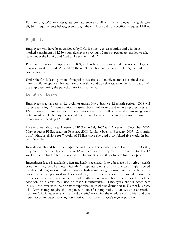Furthermore, DCS may designate your absence as FMLA, if an employee is eligible (see eligibility requirements below), even though the employee did not specifically request FMLA.

### **Eligibility**

Employees who have been employed by DCS for one year (12 months) and who have worked a minimum of 1,250 hours during the previous 12-month period are entitled to take leave under the Family and Medical Leave Act (FMLA).

Please note that some employees of DCS, such as bus drivers and child nutrition employees, may not qualify for FMLA based on the number of hours/days worked during the past twelve months.

Under the family leave portion of the policy, a seriously ill family member is defined as a parent, child, or spouse who has a serious health condition that warrants the participation of the employee during the period of medical treatment.

Length of Leave

Employees may take up to 12 weeks of unpaid leave during a 12-month period. DCS will observe a rolling 12-month period measured backward from the date an employee uses any FMLA leave. Therefore, each time an employee takes FMLA leave the remaining leave entitlement would be any balance of the 12 weeks, which has not been used during the immediately preceding 12 months.

Example: Mary uses 2 weeks of FMLA in July 2007 and 3 weeks in December 2007; Mary requests FMLA again in February 2008; Looking back to February 2007 (12 months prior), Mary is eligible for 7 weeks of FMLA since she used a combined five weeks in July and December.

In addition, should both the employee and his or her spouse be employed by the District, they may not necessarily each receive 12 weeks of leave. They may receive only a total of 12 weeks of leave for the birth, adoption, or placement of a child or to care for a sick parent.

Intermittent leave is available when medically necessary. Leave because of a serious health condition, may be taken intermittently (in separate blocks of time due to a single covered health condition) or on a reduced leave schedule (reducing the usual number of hours the employee works per workweek or workday) if medically necessary. For administration purposes, the minimum increment of intermittent leave is one hour. Leave for the birth or adoption of a child may not be taken intermittently. Employees should coordinate intermittent leave with their primary supervisor to minimize disruption to District business. The District may require the employee to transfer temporarily to an available alternative position (which has equivalent pay and benefits) for which the employee is qualified and that better accommodates recurring leave periods than the employee's regular position.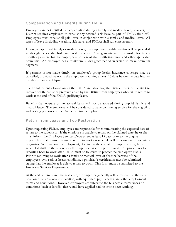#### Compensation and Benefits during FMLA

Employees are not entitled to compensation during a family and medical leave; however, the District requires employees to exhaust any accrued sick leave as part of FMLA time off. Employees must exhaust all paid leave in conjunction with a family and medical leave. All types of leave (including vacation, sick leave, and FMLA) shall run concurrently.

During an approved family or medical leave, the employee's health benefits will be provided as though he or she had continued to work. Arrangements must be made for timely monthly payment for the employee's portion of the health insurance and other applicable premiums. An employee has a minimum 30-day grace period in which to make premium payments.

If payment is not made timely, an employee's group health insurance coverage may be cancelled, provided we notify the employee in writing at least 15 days before the date his/her health insurance will lapse.

To the full extent allowed under the FMLA and state law, the District reserves the right to recover health insurance premiums paid by the District from employees who fail to return to work at the end of the FMLA qualifying leave.

Benefits that operate on an accrual basis will not be accrued during unpaid family and medical leave. The employee will be considered to have continuing service for the eligibility and vesting purposes of the District's retirement plan.

#### Return from Leave and Job Restoration

Upon requesting FMLA, employees are responsible for communicating the expected date of return to the supervisor. If the employee is unable to return on the planned date, he or she must inform the Employee Services Department at least 15 days prior to the original expected date of return. Failure to return to work on schedule will be considered a voluntary resignation/termination of employment, effective at the end of the employee's regularly scheduled shift on the second day the employee fails to report to work. All procedures for reporting back to work after FMLA must be followed to protect the employee's status. Prior to returning to work after a family or medical leave of absence because of the employee's own serious health condition, a physician's certification must be submitted stating that the employee is able to return to work. This form must be submitted to the Employee Services Department.

At the end of family and medical leave, the employee generally will be restored to the same position or to an equivalent position, with equivalent pay, benefits, and other employment terms and conditions. However, employees are subject to the business circumstances or conditions (such as layoffs) that would have applied had he or she been working.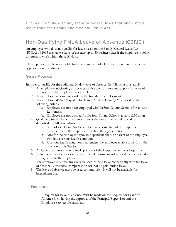DCS will comply with any state or federal laws that allow more leave than the Family and Medical Leave Act.

# Non-Qualifying FMLA Leave of Absence (GBRIE )

An employee who does not qualify for leave based on the Family Medical Leave Act (FMLA) of 1993 may take a leave of absence up to 30 business days if the employee is going to return to work within those 30 days.

The employee may be responsible for timely payment of all insurance premiums while on approved leave of absence.

#### General Provisions:

In order to qualify for the additional 30 day leave of absence the following must apply:

- 1. An employee anticipating an absence of five days or more must apply for leave of absence with the Employee Services Department.
- 2. The employee reported to work on the first day of employment.
- 3. The employee **does not** qualify for Family Medical Leave (FML) based on the following criteria:
	- a. Employee has not been employed with DeSoto County Schools for at least 12 months;
	- b. Employee has not worked for DeSoto County Schools at least 1250 hours.
- 4. Qualifying for the leave of absence follows the same criteria and procedure as described in FMLA regulations.
	- a. Birth of a child and/or to care for a newborn child of the employee.
	- b. Placement with the employee of a child through adoption.
	- c. Care for the employee's spouse, dependent child, or parent of the employee who has a serious health condition.
	- d. A serious health condition that renders the employee unable to perform the function of his/her job.
- 5. All leave of absences require final approval of the Employee Services Department.
- 6. Failure to return to work on the determined return-to-work day will be considered as a resignation by the employee.
- 7. The employee must use any available accrued paid leave concurrently with the leave of absence. Otherwise, compensation will not be paid during leave.
- 8. The leave of absence must be used continuously. It will not be available for intermittent use.

#### Procedures:

1. A request for leave of absence must be made on the Request for Leave of Absence form having the approval of the Principal/Supervisor and the Employee Services Department.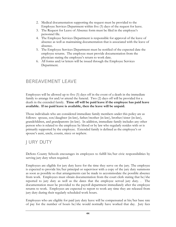- 2. Medical documentation supporting the request must be provided to the Employee Services Department within five (5) days of the request for leave.
- 3. The Request for Leave of Absence form must be filed in the employee's personnel file.
- 4. The Employee Services Department is responsible for approval of the leave of absence as well as maintaining documentation that is associated with the leave of absence.
- 5. The Employee Services Department must be notified of the expected date the employee returns. The employee must provide documentation from the physician stating the employee's return to work date.
- 6. All forms and/or letters will be issued through the Employee Services Department.

# BEREAVEMENT LEAVE

Employees will be allowed up to five (5) days off in the event of a death in the immediate family to arrange for and/or attend the funeral. Two (2) days off will be provided for a death in the extended family. **Time off will be paid leave if the employee has paid leave available. If no paid leave is available, then the leave will be unpaid.** 

Those individuals who are considered immediate family members under this policy are as follows: spouse, son/daughter (in-law), father/mother (in-law), brother/sister (in-law), grandchildren, and grandparents (in-law). In addition, immediate family includes any other person who is related to the employee by blood or by law who regularly resides with or is primarily supported by the employee. Extended family is defined as the employee's or spouse's aunt, uncle, cousin, niece or nephew.

# JURY DUTY

DeSoto County Schools encourages its employees to fulfill his/her civic responsibilities by serving jury duty when required.

Employees are eligible for jury duty leave for the time they serve on the jury. The employee is expected to provide his/her principal or supervisor with a copy of the jury duty summons as soon as possible so that arrangements can be made to accommodate the possible absence from work. Employees must obtain documentation from the court clerk stating that he/she reported to jury duty as well as the dates that the employee served jury duty. . The documentation must be provided to the payroll department immediately after the employee returns to work. Employees are expected to report to work any time they are released from jury duty during their regularly scheduled work hours.

Employees who are eligible for paid jury duty leave will be compensated at his/her base rate of pay for the number of hours he/she would normally have worked that day. Jury fees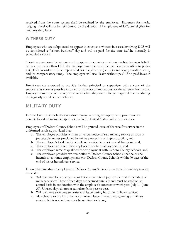received from the court system shall be retained by the employee. Expenses for meals, lodging, travel will not be reimbursed by the district. All employees of DCS are eligible for paid jury duty leave.

#### WITNESS DUTY

Employees who are subpoenaed to appear in court as a witness in a case involving DCS will be considered a "school business" day and will be paid for the time he/she normally is scheduled to work.

Should an employee be subpoenaed to appear in court as a witness on his/her own behalf, or by a part other than DCS, the employee may use available paid leave according to policy guidelines in order to be compensated for the absence (i.e. personal leave, vacation leave, and/or compensatory time). The employee will use "leave without pay" if no paid leave is available.

Employees are expected to provide his/her principal or supervisor with a copy of the subpoena as soon as possible in order to make accommodations for the absence from work. Employees are expected to report to work when they are no longer required in court during the regularly scheduled work hours.

# MILITARY DUTY

DeSoto County Schools does not discriminate in hiring, reemployment, promotion or benefits based on membership or service in the United States uniformed services.

Employees of DeSoto County Schools will be granted leave of absence for service in the uniformed services, provided that:

- a. The employee provides written or verbal notice of said military service as soon as practicable, unless precluded by military necessity or impracticability, and;
- b. The employee's total length of military service does not exceed five years, and;
- c. The employee satisfactorily completes his or her military service, and
- d. The employee remains qualified for employment with DeSoto County Schools, and;
- e. The employee provides written notice to DeSoto County Schools that he or she intends to continue employment with DeSoto County Schools within 90 days of the end of his or her military service.

During the time that an employee of DeSoto County Schools is on leave for military service, he or she:

- a. Will continue to be paid at his or her current rate of pay for the first fifteen days of military service; These fifteen days are accrued annually and must be used on an annual basis in conjunction with the employee's contract or work year (July 1 – June 30). Unused days do not accumulate from year to year.
- b. Will continue to accrue seniority and leave during his or her military service;
- c. May choose to use his or her accumulated leave time at the beginning of military service, but is not and may not be required to do so;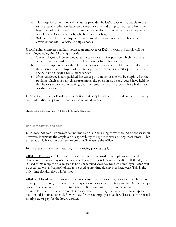- d. May keep his or her medical insurance provided by DeSoto County Schools to the same extent as other on-leave employees, for a period of up to two years from the beginning of military service or until he or she elects not to return to employment with DeSoto County Schools, whichever occurs first;
- e. Will be treated for the purposes of retirement as having no break in his or her employment with DeSoto County Schools.

Upon having completed military service, an employee of DeSoto County Schools will be reemployed using the following priorities:

- a. The employee will be employed at the same or a similar position which he or she would have held had he or she not been absent for military service.
- b. If the employee is not qualified for the position he or she would have held if not for the absence, the employee will be employed at the same or a similar position he or she held upon leaving for military service.
- c. If the employee is not qualified for either position, he or she will be employed at the position which most closely approximates the position he or she would have held or that he or she held upon leaving, with the seniority he or she would have had if not for the absence.

DeSoto County Schools will provide notice to its employees of their rights under this policy and under Mississippi and federal law, as required by law.

LEGAL REF.: Miss. Code Ann. (1972) §33-1-21, 38 U.S.C. 4312 et seq.

#### Inclement Weather

DCS does not want employees taking undue risks in traveling to work in inclement weather; however, it remains the employee's responsibility to report to work during these times. This expectation is based on the need to continually operate the office.

In the event of inclement weather, the following policies apply:

**240-Day Exempt** employees are expected to report to work. Exempt employees who choose not to work may use the day as sick leave, personal leave or vacation. If the day that is used to make up the day missed is not a scheduled workday for these employees, each will be credited with a floating holiday to be used at any time during that fiscal year. This is the only time floating days will be used.

**240-Day Non-Exempt** employees who choose not to work may also use the day as sick leave, personal leave, vacation or they may choose not to be paid for that day. Non-Exempt employees who have earned compensatory time may use those hours to make up for the hours missed at the discretion of their supervisor. If the day that is used to make up for the day missed is not a scheduled work day for these employees, each will receive their usual hourly rate of pay for the hours worked.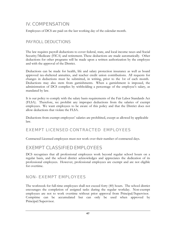## IV. COMPENSATION

Employees of DCS are paid on the last working day of the calendar month.

### PAYROLL DEDUCTIONS

The law requires payroll deductions to cover federal, state, and local income taxes and Social Security/Medicare (FICA) and retirement. These deductions are made automatically. Other deductions for other programs will be made upon a written authorization by the employee and with the approval of the District.

Deductions can be made for health, life and salary protection insurance as well as board approved tax-sheltered annuities, and teacher credit union contributions. All requests for changes in deductions must be submitted, in writing, prior to the 1st of each month. Deductions may also stem from garnishments. When a garnishment is imposed, the administration of DCS complies by withholding a percentage of the employee's salary, as mandated by law.

It is our policy to comply with the salary basis requirements of the Fair Labor Standards Act (FLSA). Therefore, we prohibit any improper deductions from the salaries of exempt employees. We want employees to be aware of this policy and that the District does not allow deductions that violate the FLSA.

Deductions from exempt employees' salaries are prohibited, except as allowed by applicable law.

## EXEMPT LICENSED CONTRACTED EMPLOYEES

Contracted Licensed employees must not work over their number of contracted days.

## EXEMPT CLASSIFIED EMPLOYEES

DCS recognizes that all professional employees work beyond regular school hours on a regular basis, and the school district acknowledges and appreciates the dedication of its professional employees. However, professional employees are exempt and are not eligible for overtime.

## NON- EXEMPT EMPLOYEES

The workweek for full-time employees shall not exceed forty (40) hours. The school district encourages the completion of assigned tasks during the regular workday. Non-exempt employees are not to work overtime without prior approval from Principal/Supervisor. Comptime can be accumulated but can only be used when approved by Principal/Supervisor.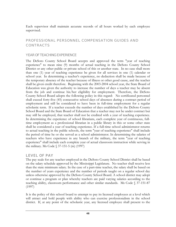Each supervisor shall maintain accurate records of all hours worked by each employee supervised.

#### PROFESSIONAL PERSONNEL COMPENSATION GUIDES AND **CONTRACTS**

#### YEAR OF TEACHING EXPERIENCE

The DeSoto County School Board accepts and approved the term "year of teaching experience" to mean nine (9) months of actual teaching in the DeSoto County School District or any other public or private school of this or another state. In no case shall more than one (1) year of teaching experience be given for all services in one (1) calendar or school year. In determining a teacher's experience, no deduction shall be made because of the temporary absence of the teacher because of illness or other good cause, and the teacher shall be given credit therefore. Beginning with the 2003-2004 school year, the State Board of Education was given the authority to increase the number of days a teacher may be absent from the job and continue his/her eligibility for employment. Therefore, the DeSoto County School Board adopts the following policy in this regard: No certificated personnel shall exceed forty-five (45) consecutive school days of absences during a contract period of employment and still be considered to have been in full-time employment for a regular scholastic term. If a teacher exceeds the number of days established by the DeSoto County School Board and the State Board of Education that a teacher may not be under contract but may still be employed, that teacher shall not be credited with a year of teaching experience. In determining the experience of school librarians, each complete year of continuous, fulltime employment as a professional librarian in a public library in this or some other state shall be considered a year of teaching experience. If a full-time school administrator returns to actual teaching in the public schools, the term "year of teaching experience" shall include the period of time he or she served as a school administrator. In determining the salaries of teachers who have experience in any branch of the military, the term "year of teaching experience" shall include each complete year of actual classroom instruction while serving in the military. Ms Code § 37-151-5 (m) (1997)

#### LEVEL OF PAY

The pay scale for any teacher employed in the DeSoto County School District shall be based on the salary schedule approved by the Mississippi Legislature. No teacher shall receive less than the state minimum salary. In the case of a part-time teacher, the salary shall be based on the number of years experience and the number of periods taught on a regular school day unless otherwise approved by the DeSoto County School Board. A school district may adopt or continue a program or plan whereby teachers are paid varying salaries according to the teaching ability, classroom performance and other similar standards. Ms Code § 37-151-87 (1997)

It is the policy of this school board to attempt to pay its licensed employees at a level which will attract and hold people with ability who can exercise professionalism in the school district. If, at any point of the scholastic year, any licensed employee shall present to the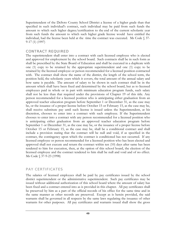Superintendent of the DeSoto County School District a license of a higher grade than that specified in such individual's contract, such individual may be paid from such funds the amount to which such higher degree/certification to the end of the current scholastic year from such funds the amount to which such higher grade license would have entitled the individual, had the license been held at the time the contract was executed. Ms Code § 37- 9-17 (1) (1997)

#### CONTRACT REQUIRED

The superintendent shall enter into a contract with each licensed employee who is elected and approved for employment by the school board. Such contracts shall be in such form as shall be prescribed by the State Board of Education and shall be executed in a duplicate with one (1) copy to be retained by the appropriate superintendent and one (1) copy to be retained by the licensed employee or person recommended for a licensed position contracted with. The contract shall show the name of the district, the length of the school term, the position held, the scholastic years which it covers, the total amount of the annual salary and how same is payable. The amount of salary to be shown in such contract shall be in the amount which shall have been fixed and determined by the school board, but as to licensed employees paid in whole or in part with minimum education program funds, such salary shall not be less than that required under the provisions of Chapter 19 of this title. Any person recommended for a licensed position who is anticipating either graduation from an approved teacher education program before September 1 or December 31, as the case may be, or the issuance of a proper license before October 15 or February 15, as the case may be, shall receive substitute pay until such license is issued unless the Superintendent, at his discretion, chooses to enter into a contract with such employee. If the Superintendent chooses to enter into a contract with any person recommended for a licensed position who is anticipating either graduation from an approved teacher education program before September 1 or December 31, as the case may be, or the issuance of a proper license before October 15 or February 15, as the case may be, shall be a conditional contract and shall include a provision stating that the contract will be null and void, if as specified in the contract, the contingency upon which the contract is conditioned has not occurred. If any licensed employee or person recommended for a licensed position who has been elected and approved shall not execute and return the contract within ten (10) days after same has been tendered to him for execution, then, at the option of this school board, the election of the licensed employee and the contract tendered to him shall be null and void and of no effect. Ms Code § 37-9-23 (1998)

#### PAY CERTIFICATES

The salaries of licensed employees shall be paid by pay certificates issued by the school district superintendent or the administrative superintendent. Such pay certificates may be issued without additional authorization of this school board where the amount of salary has been fixed and a contract entered into as is provided in this chapter. All pay certificates shall be preserved by him as a part of the official records of his office for the same time and in the same manner as other records are preserved. Except as is herein provided, the said warrants shall be governed in all respects by the same laws regulating the issuance of other warrants for other purposes. All pay certificates and warrants issued shall show the gross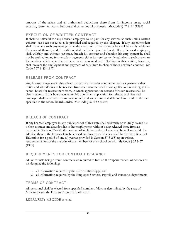amount of the salary and all authorized deductions there from for income taxes, social security, retirement contributions and other lawful purposes. Ms Code § 37-9-41 (1997)

#### EXECUTION OF WRITTEN CONTRACT

It shall be unlawful for any licensed employee to be paid for any services as such until a written contract has been executed as is provided and required by this chapter. If any superintendent shall make any such payment prior to the execution of the contract he shall be civilly liable for the amount thereof, and, in addition, shall be liable upon his bond. If any licensed employee, shall willfully and without just cause breach his contract and abandon his employment he shall not be entitled to any further salary payments either for services rendered prior to such breach or for services which were thereafter to have been rendered. Nothing in this section, however, shall prevent the employment and payment of substitute teachers without a written contract. Ms Code § 37-9-43 (1997)

#### RELEASE FROM CONTRACT

Any licensed employee in this school district who is under contract to teach or perform other duties and who desires to be released from such contract shall make application in writing to this school board for release there from, in which application the reasons for such release shall be clearly stated. If this board acts favorably upon such application for release, such licensed employee shall be released from his contract, and said contract shall be null and void on the date specified in the school board's order. Ms Code § 37-9-55 (1997)

### BREACH OF CONTRACT

If any licensed employee in any public school of this state shall arbitrarily or willfully breach his or her contract and abandon his or her employment without being released there from as provided in Section 37-9-55, the contract of such licensed employee shall be null and void. In addition thereto the license of such licensed employee may be suspended by the State Board of Education for a period of one (1) year as provided in Section 37-3-2(8) upon written recommendation of the majority of the members of this school board. Ms Code § 37-9-57 (1997)

### REQUIREMENTS FOR CONTRACT ISSUANCE

All individuals being offered contracts are required to furnish the Superintendent of Schools or his designee the following:

- 1. all information required by the state of Mississippi; and
- 2. all information required by the Employee Services, Payroll, and Personnel departments

#### TERMS OF CONTRACT:

All personnel shall be elected for a specified number of days as determined by the state of Mississippi and the DeSoto County School Board.

LEGAL REF.: MS CODE as cited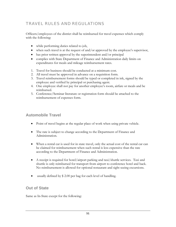## TRAVEL RULES AND REGULATIONS

Officers/employees of the district shall be reimbursed for travel expenses which comply with the following:

- while performing duties related to job,
- when such travel is at the request of and/or approved by the employee's supervisor,
- $\bullet$  has prior written approval by the superintendent and/or principal
- complies with State Department of Finance and Administration daily limits on expenditures for meals and mileage reimbursement rates.
- 1. Travel for business should be conducted at a minimum cost.
- 2. All travel must be approved in advance on a requisition form.
- 3. Travel reimbursement forms should be typed or completed in ink, signed by the employee and verified by principal or purchasing agent.
- 4. One employee shall not pay for another employee's room, airfare or meals and be reimbursed.
- 5. Conference/Seminar literature or registration form should be attached to the reimbursement of expenses form.

### **Automobile Travel**

- Point of travel begins at the regular place of work when using private vehicle.
- The rate is subject to change according to the Department of Finance and Administration.
- When a rental car is used for in state travel, only the actual cost of the rental car can be claimed for reimbursement when such rental is less expensive than the rate according to the Department of Finance and Administration.
- A receipt is required for hotel/airport parking and taxi/shuttle services. Taxi and shuttle is only reimbursed for transport from airport to conference hotel and back. No reimbursement is allowed for optional restaurant and sight seeing excursions.
- usually defined by \$2.00 per bag for each level of handling.

### **Out of State**

Same as In-State except for the following: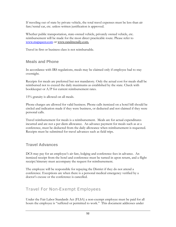If traveling out of state by private vehicle, the total travel expenses must be less than air fare/rental car, etc. unless written justification is approved.

Whether public transportation, state-owned vehicle, privately owned vehicle, etc. reimbursement will be made for the most direct practicable route. Please refer to [www.mapquest.com](http://www.mapquest.com/) or www.randmcnally.com.

Travel in first or business class is not reimbursable.

### **Meals and Phone**

In accordance with IRS regulations, meals may be claimed only if employee had to stay overnight.

Receipts for meals are preferred but not mandatory. Only the actual cost for meals shall be reimbursed not to exceed the daily maximums as established by the state. Check with bookkeeper or A/P for current reimbursement rates.

15% gratuity is allowed on all meals.

Phone charges are allowed for valid business. Phone calls itemized on a hotel bill should be circled and indication made if they were business, or deducted and not claimed if they were personal calls.

Travel reimbursement for meals is a reimbursement. Meals are for actual expenditures incurred and are not a per diem allowance. An advance payment for meals such as at a conference, must be deducted from the daily allowance when reimbursement is requested. Receipts must be submitted for travel advances such as field trips.

## **Travel Advances**

DCS may pay for an employee's air fare, lodging and conference fees in advance. An itemized receipt from the hotel and conference must be turned in upon return, and a flight receipt/itinerary must accompany the request for reimbursement.

The employee will be responsible for repaying the District if they do not attend a conference. Exceptions are when there is a personal medical emergency verified by a doctor's excuse or the conference is cancelled.

## Travel For Non-Exempt Employees

Under the Fair Labor Standards Act (FLSA) a non-exempt employee must be paid for all hours the employee is "suffered or permitted to work." This document addresses under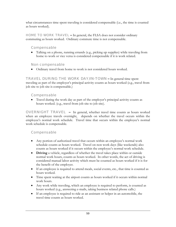what circumstances time spent traveling is considered compensable (i.e., the time is counted as hours worked).

HOME TO WORK TRAVEL **–** In general, the FLSA does not consider ordinary commuting as hours worked. Ordinary commute time is not compensable.

#### Compensable

• Talking on a phone, running errands (e.g., picking up supplies) while traveling from home to work or vice versa is considered compensable if it is work related.

#### Non compensable

• Ordinary travel from home to work is not considered hours worked.

TRAVEL DURING THE WORK DAY/IN-TOWN **–** In general time spent traveling as part of the employer's principal activity counts as hours worked (e.g., travel from job site to job site is compensable.)

#### Compensable

• Travel during the work day as part of the employer's principal activity counts as hours worked. (e.g., travel from job site to job site).

 OVERNIGHT TRAVEL **–** In general, whether travel time counts as hours worked when an employee travels overnight, depends on whether the travel occurs within the employee's normal work schedule. Travel time that occurs within the employee's normal work schedule is compensable.

#### Compensable

- Any portion of authorized travel that occurs within an employee's normal work schedule counts as hours worked. Travel on non work days (like weekends) also counts as hours worked if it occurs within the employee's normal work schedule.
- **Driving** a vehicle, regardless of whether the travel takes place within or outside normal work hours, counts as hours worked. In other words, the act of driving is considered manual labor activity which must be counted as hours worked if it is for the benefit of the employer.
- If an employee is required to attend meals, social events, etc., that time is counted as hours worked.
- Time spent waiting at the airport counts as hours worked if it occurs within normal work hours.
- Any work while traveling, which an employee is required to perform, is counted as hours worked (e.g., answering e-mails, taking business related phone calls.)
- If an employee is required to ride as an assistant or helper in an automobile, the travel time counts as hours worked.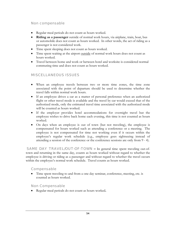#### Non compensable

- Regular meal periods do not count as hours worked.
- **Riding as a passenger** outside of normal work hours, via airplane, train, boat, bus or automobile does not count as hours worked. In other words, the act of riding as a passenger is not considered work.
- Time spent sleeping does not count as hours worked.
- Time spent waiting at the airport outside of normal work hours does not count as hours worked.
- Travel between home and work or between hotel and worksite is considered normal commuting time and does not count as hours worked.

#### MISCELLANEOUS ISSUES

- When an employee travels between two or more time zones, the time zone associated with the point of departure should be used to determine whether the travel falls within normal work hours.
- If an employee drives a car as a matter of personal preference when an authorized flight or other travel mode is available and the travel by car would exceed that of the authorized mode, only the estimated travel time associated with the authorized mode will be counted as hours worked.
- If the employer provides hotel accommodations for overnight travel but the employee wishes to drive back home each evening, this time is not counted as hours worked.
- On days when an employee is out of town (but not traveling), the employee is compensated for hours worked such as attending a conference or a meeting. The employee is not compensated for time not working even if it occurs within the employee's regular work schedule (e.g., employee goes sightseeing instead of attending a session of the conference or the conference sessions are only from 9 - 4).

 SAME DAY TRAVEL/OUT-OF-TOWN **–** In general time spent traveling out-oftown and returning in the same day, counts as hours worked without regard to whether the employee is driving or riding as a passenger and without regard to whether the travel occurs within the employee's normal work schedule. Travel counts as hours worked.

#### Compensable

• Time spent traveling to and from a one day seminar, conference, meeting, etc. is counted as hours worked.

#### Non Compensable

• Regular meal periods do not count as hours worked**.**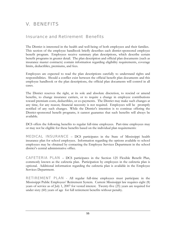# V. BENEFITS

## Insurance and Retirement Benefits

The District is interested in the health and well-being of both employees and their families. This section of the employee handbook briefly describes each district-sponsored employee benefit program. Employees receive summary plan descriptions, which describe certain benefit programs in greater detail. The plan description and official plan documents (such as insurance master contracts) contain information regarding eligibility requirements, coverage limits, deductibles, premiums, and fees.

Employees are expected to read the plan descriptions carefully to understand rights and responsibilities. Should a conflict exist between the official benefit plan documents and this employee handbook or the plan descriptions, the official plan documents will control in all cases.

The District reserves the right, at its sole and absolute discretion, to rescind or amend benefits, to change insurance carriers, or to require a change in employee contributions toward premium costs, deductibles, or co-payments. The District may make such changes at any time, for any reason; financial necessity is not required. Employees will be promptly notified of any such changes. While the District's intention is to continue offering the District-sponsored benefit programs, it cannot guarantee that such benefits will always be available.

DCS offers the following benefits to regular full-time employees. Part-time employees may or may not be eligible for these benefits based on the individual plan requirements:

MEDICAL INSURANCE – DCS participates in the State of Mississippi health insurance plan for school employees. Information regarding the options available to school employees may be obtained by contacting the Employee Services Department in the school district's central administrative office.

CAFETERIA PLAN – DCS participates in the Section 125 Flexible Benefit Plan, commonly known as the cafeteria plan. Participation by employees in the cafeteria plan is optional. Additional information regarding the cafeteria plan is available in the Employee Services Department.

RETIREMENT PLAN - All regular full-time employees must participate in the Mississippi Public Employees' Retirement System. Current Mississippi law requires eight (8) years of service as of July 1, 2007 for vested interest. Twenty-five (25) years are required for under sixty (60) years of age for full retirement benefits without penalty.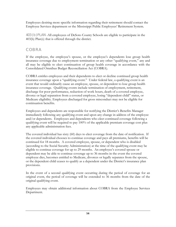Employees desiring more specific information regarding their retirement should contact the Employee Services department or the Mississippi Public Employees' Retirement System.

403 ( b ) PLAN -All employees of DeSoto County Schools are eligible to participate in the 403(b) Plan(s) that is offered through the district.

## **COBRA**

If the employee, the employee's spouse, or the employee's dependents lose group health insurance coverage due to employment termination or any other "qualifying event," any and all may be eligible to elect continuation of group health coverage in accordance with the Consolidated Omnibus Budget Reconciliation Act (COBRA).

COBRA entitles employees and their dependents to elect or decline continued group health insurance coverage upon a "qualifying event." Under federal law, a qualifying event is an event that would ordinarily cause an employee, spouse, or dependent to lose group health insurance coverage. Qualifying events include termination of employment, retirement, discharge for poor performance, reduction of work hours, death of a covered employee, divorce or legal separation from a covered employee, losing "dependent child" status, or Medicare eligibility. Employees discharged for gross misconduct may not be eligible for continuation benefits.

Employees and dependents are responsible for notifying the District's Benefits Manager immediately following any qualifying event and upon any change in address of the employee and/or dependents. Employees and dependents who elect continued coverage following a qualifying event will be required to pay 100% of the applicable premium coverage cost plus any applicable administration fees.

The covered individual has sixty (60) days to elect coverage from the date of notification. If the covered individual chooses to continue coverage and pays all premiums, benefits will be continued for 18 months. A covered employee, spouse, or dependent who is disabled (according to the Social Security Administration) at the time of the qualifying event may be eligible to continue coverage for up to 29 months. An employee's covered spouse or dependent may be able to continue coverage up to 36 months in the event the covered employee dies, becomes entitled to Medicare, divorces or legally separates from the spouse, or the dependent child ceases to qualify as a dependent under the District's insurance plan provisions.

In the event of a second qualifying event occurring during the period of coverage for an original event, the period of coverage will be extended to 36 months from the date of the original qualifying event.

Employees may obtain additional information about COBRA from the Employee Services Department.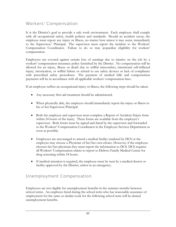## Workers' Compensation

It is the District's goal to provide a safe work environment. Each employee shall comply with all occupational safety, health policies and standards. Should an accident occur, the employee must report any injury or illness, no matter how minor it may seem, immediately to the Supervisor/ Principal. The supervisor must report the incident to the Workers' Compensation Coordinator. Failure to do so may jeopardize eligibility for workers' compensation.

Employees are covered against certain loss of earnings due to injuries on the job by a workers' compensation insurance policy furnished by the District. No compensation will be allowed for an injury, illness or death due to willful misconduct, intentional self-inflicted injury, intoxication, or willful failure or refusal to use safety devices or lack of compliance with prescribed safety procedures. The payment of medical bills and compensation payments will be in accordance with all applicable workers' compensation laws.

If an employee suffers an occupational injury or illness, the following steps should be taken:

- Any necessary first-aid treatment should be administered.
- When physically able, the employee should immediately report the injury or illness to his or her Supervisor/Principal.
- Both the employee and supervisor must complete a Report of Accident/Injury form within 24 hours of the injury. These forms are available from the employee's supervisor. Both forms must be signed and dated by the supervisor and forwarded to the Workers' Compensation Coordinator in the Employee Services Department as soon as possible.
- Employees are encouraged to attend a medical facility tendered by DCS or the employee may choose a Physician of his/her own choice. However, if the employee chooses his/her physician they must report the information to DCS. DCS requires all Workers' Compensation claims to report to DeSoto Family Medical Center for drug screening within 24 hours.
- If medical attention is required, the employee must be seen by a medical doctor or facility approved by the District, unless in an emergency.

## Unemployment Compensation

Employees are not eligible for unemployment benefits in the summer months between school terms. An employee hired during the school term who has reasonable assurance of employment for the same or similar work for the following school term will be denied unemployment benefits.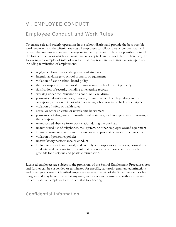# VI. EMPLOYEE CONDUCT

# Employee Conduct and Work Rules

To ensure safe and orderly operations in the school district and provide the best possible work environment, the District expects all employees to follow rules of conduct that will protect the interests and safety of everyone in the organization. It is not possible to list all the forms of behavior which are considered unacceptable in the workplace. Therefore, the following are examples of rules of conduct that may result in disciplinary action, up to and including termination of employment:

- negligence towards or endangerment of students
- intentional damage to school property or equipment
- violation of law or school board policy
- theft or inappropriate removal or possession of school district property
- falsification of records, including timekeeping records
- working under the influence of alcohol or illegal drugs
- possession, distribution, sale, transfer, or use of alcohol or illegal drugs in the workplace, while on duty, or while operating school-owned vehicles or equipment
- violation of safety or health rules
- sexual or other unlawful or unwelcome harassment
- possession of dangerous or unauthorized materials, such as explosives or firearms, in the workplace
- unauthorized absence from work station during the workday
- unauthorized use of telephones, mail system, or other employer-owned equipment
- failure to maintain classroom discipline or an appropriate educational environment
- violation of personnel policies
- unsatisfactory performance or conduct
- Failure to interact courteously and tactfully with supervisor/managers, co-workers, students, and vendors to the point that productivity or morale suffers may be grounds for discipline and possible termination.

Licensed employees are subject to the provisions of the School Employment Procedures Act and further can be suspended or terminated for specific, statutorily enumerated infractions and other good causes. Classified employees serve at the will of the Superintendent or his designee and may be terminated at any time, with or without cause, and without advance notice. Classified employees are not entitled to a hearing.

## Confidential Information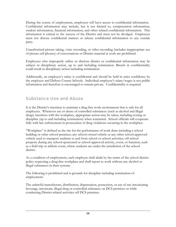During the course of employment, employees will have access to confidential information. Confidential information may include, but is not limited to, compensation information, student information, financial information, and other related confidential information. This information is critical to the success of the District and must not be divulged. Employees must not discuss confidential matters or release confidential information to any outside party.

Unauthorized picture taking, voice recording, or video recording (includes inappropriate use of picture cell phones) of conversations or District material at work are prohibited.

Employees who improperly utilize or disclose district or confidential information may be subject to disciplinary action, up to and including termination. Breach in confidentiality could result in disciplinary action including termination.

Additionally, an employee's salary is confidential and should be held in strict confidence by the employee and DeSoto County Schools. Individual employee's salary/wages is not public information and therefore is encouraged to remain private. Confidentiality is required.

### Substance Use and Abuse

It is the District's intention to maintain a drug free work environment that is safe for all employees. Whenever use or abuse of controlled substances (such as alcohol and illegal drugs) interferes with the workplace, appropriate action may be taken, including testing or discipline (up to and including termination) when warranted. School officials will cooperate fully with law enforcement in prosecution of drug violations occurring in the workplace.

"Workplace" is defined as the site for the performance of work done including a school building or other school premises; any school-owned vehicle or any other school-approved vehicle used to transport students to and from school or school activities; off-school property during any school-sponsored or school-approved activity, event, or function, such as a field trip or athletic event, where students are under the jurisdiction of the school district.

As a condition of employment, each employee shall abide by the terms of the school district policy respecting a drug-free workplace and shall report to work without any alcohol or illegal substances in their systems.

The following is prohibited and is grounds for discipline including termination of employment:

The unlawful manufacture, distribution, dispensation, possession, or use of any intoxicating beverage, intoxicant, illegal drug or controlled substance on DCS premises or while conducting District-related activities off DCS premises.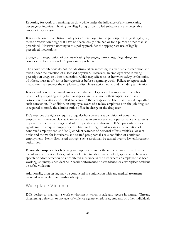Reporting for work or remaining on duty while under the influence of any intoxicating beverage or intoxicant; having any illegal drug or controlled substance at any detectable amount in your system.

It is a violation of the District policy for any employee to use prescription drugs illegally, i.e., to use prescription drugs that have not been legally obtained or for a purpose other than as prescribed. However, nothing in this policy precludes the appropriate use of legally prescribed medications.

Storage or transportation of any intoxicating beverages, intoxicants, illegal drugs, or controlled substances on DCS property is prohibited.

The above prohibitions do not include drugs taken according to a verifiable prescription and taken under the direction of a licensed physician. However, an employee who is taking prescription drugs or other medication, which may affect his or her work safety or the safety of others, must notify his or her supervisor before beginning work. Failure to report such medication may subject the employee to disciplinary action, up to and including termination.

It is a condition of continued employment that employees shall comply with the school board policy regarding a drug-free workplace and shall notify their supervisor of any conviction involving a controlled substance in the workplace no later than five (5) days after such conviction. In addition, an employee aware of a fellow employee's on-the-job drug use is required to notify the administrative office in charge of the drug user.

DCS reserves the right to require drug/alcohol screens as a condition of continued employment if reasonable suspicion exists that an employee's work performance or safety is impaired by the use of drugs or alcohol. Specifically, authorized DCS representatives or agents may: 1) require employees to submit to testing for intoxicants as a condition of continued employment, and/or 2) conduct searches of personal effects, vehicles, lockers, desks and rooms for intoxicants and related paraphernalia as a condition of continued employment. Items discovered through such search may be turned over to law enforcement authorities.

Reasonable suspicion for believing an employee is under the influence or impaired by the use of an intoxicant includes, but is not limited to: abnormal conduct, appearance, behavior, speech or odor; detection of a prohibited substance in the area where an employee has been working; an unexplained decline in work performance or attendance; or a workplace accident or safety violation.

Additionally, drug testing may be conducted in conjunction with any medical treatment required as a result of an on-the-job injury.

## Workplace Violence

DCS desires to maintain a work environment which is safe and secure in nature. Threats, threatening behavior, or any acts of violence against employees, students or other individuals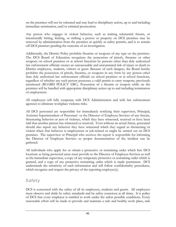on the premises will not be tolerated and may lead to disciplinary action, up to and including immediate termination, and/or criminal prosecution.

Any person who engages in violent behavior, such as making substantial threats, or intentionally hitting, kicking, or striking a person or property on DCS premises may be removed by administration from the premises as quickly as safety permits, and is to remain off DCS premises pending the outcome of an investigation.

Additionally, the District Policy prohibits firearms or weapons of any type on the premises. The DCS Board of Education recognizes the possession of pistols, firearms or other weapons on school premises or at school functions by persons other than duly authorized law enforcement officials creates an unreasonable and unwarranted risk of injury or death to District employees, students, visitors or guest. Because of such dangers, the Board hereby prohibits the possession of pistols, firearms, or weapons in any form by any person other than duly authorized law enforcement officials on school premises or at school functions, regardless of whether any such person possesses a valid permit to carry weapons, previously mentioned (BOARD POLICY EBC). Possession of a firearm or weapon while on the premises will be handled with appropriate disciplinary action up to and including termination of employment.

All employees will fully cooperate with DCS Administration and with law enforcement agencies to eliminate workplace violence risks.

All DCS personnel are responsible for immediately notifying their supervisor, Principal, Assistant Superintendent of Personnel or the Director of Employee Services of any threats, threatening behavior or acts of violence, which they have witnessed, received or have been told that another person has witnessed or received. Even without an actual threat, personnel should also report any behavior they have witnessed which they regard as threatening or violent when that behavior is employment or job-related or might be carried out on DCS premises. The supervisor or Principal who receives the report is responsible for informing the Director of Employee Services so proper documentation of the incident can be gathered.

All individuals who apply for or obtain a protective or restraining order which lists DCS locations as being protected areas must provide to the Director of Employee Services as well as the immediate supervisor, a copy of any temporary protective or restraining order which is granted, and a copy of any protective restraining order which is made permanent. DCS understands the sensitivity of such information and will follow confidentiality procedures, which recognize and respect the privacy of the reporting employee(s).

# **Safety**

DCS is concerned with the safety of all its employees, students and guests. All employees must observe and abide by safety standards and be safety conscious at all times. It is policy of DCS that every employee is entitled to work under the safest possible conditions. Every reasonable effort will be made to provide and maintain a safe and healthy work place, safe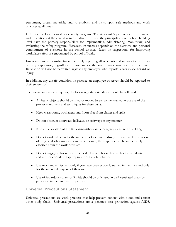equipment, proper materials, and to establish and insist upon safe methods and work practices at all times.

DCS has developed a workplace safety program. The Assistant Superintendent for Finance and Operations at the central administrative office and the principals at each school building level have the primary responsibility for implementing, administering, monitoring, and evaluating the safety program. However, its success depends on the alertness and personal commitment of everyone in the school district. Ideas or suggestions for improving workplace safety are encouraged by school officials.

Employees are responsible for immediately reporting all accidents and injuries to his or her primary supervisor, regardless of how minor the occurrences may seem at the time. Retaliation will not be permitted against any employee who reports a workplace hazard or injury.

In addition, any unsafe condition or practice an employee observes should be reported to their supervisor.

To prevent accidents or injuries, the following safety standards should be followed:

- All heavy objects should be lifted or moved by personnel trained in the use of the proper equipment and techniques for these tasks.
- Keep classrooms, work areas and floors free from clutter and spills.
- Do not obstruct doorways, hallways, or stairways in any manner.
- Know the location of the fire extinguishers and emergency exits in the building.
- Do not work while under the influence of alcohol or drugs. If reasonable suspicion of drug or alcohol use exists and is witnessed, the employee will be immediately escorted from the work premises.
- Do not engage in horseplay. Practical jokes and horseplay can lead to accidents and are not considered appropriate on-the-job behavior.
- Use tools and equipment only if you have been properly trained in their use and only for the intended purpose of their use.
- Use of hazardous sprays or liquids should be only used in well-ventilated areas by personnel trained in their proper use.

#### Universal Precautions Statement

Universal precautions are work practices that help prevent contact with blood and certain other body fluids. Universal precautions are a person's best protection against AIDS,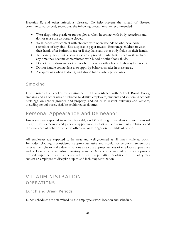Hepatitis B, and other infectious diseases. To help prevent the spread of diseases communicated by body secretions, the following precautions are recommended:

- Wear disposable plastic or rubber gloves when in contact with body secretions and do not reuse the disposable gloves.
- Wash hands after contact with children with open wounds or who have body secretions of any kind. Use disposable paper towels. Encourage children to wash their hands after bathroom use or if they have any other body fluids on their hands.
- To clean up body fluids, always use an approved disinfectant. Clean work surfaces any time they become contaminated with blood or other body fluids.
- Do not eat or drink in work areas where blood or other body fluids may be present.
- Do not handle contact lenses or apply lip balm/cosmetics in these areas.
- Ask questions when in doubt, and always follow safety procedures.

## Smoking

DCS promotes a smoke-free environment. In accordance with School Board Policy, smoking and all other uses of tobacco by district employees, students and visitors in schools buildings, on school grounds and property, and on or in district buildings and vehicles, including school buses, shall be prohibited at all times.

# Personal Appearance and Demeanor

Employees are expected to reflect favorably on DCS through their demonstrated personal integrity, job demeanor and personal appearance, including their community relations and the avoidance of behavior which is offensive, or infringes on the rights of others.

All employees are expected to be neat and well-groomed at all times while at work. Immodest clothing is considered inappropriate attire and should not be worn. Supervisors reserve the right to make determinations as to the appropriateness of employee appearance and will do so in a non-discriminatory manner. Supervisors may ask an inappropriately dressed employee to leave work and return with proper attire. Violation of this policy may subject an employee to discipline, up to and including termination.

# VII. ADMINISTRATION **OPERATIONS**

Lunch and Break Periods

Lunch schedules are determined by the employee's work location and schedule.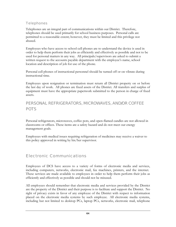#### **Telephones**

Telephones are an integral part of communications within our District. Therefore, telephones should be used primarily for school business purposes. Personal calls are permitted to a reasonable extent; however, they must be limited and this privilege not abused.

Employees who have access to school cell phones are to understand the device is used in order to help them perform their jobs as efficiently and effectively as possible and not to be used for personal matters in any way. All principals/supervisors are asked to submit a written request to the accounts payable department with the employee's name, school location and description of job for use of the phone.

Personal cell phones of instructional personnel should be turned off or on vibrate during instructional time.

Employees upon resignation or termination must return all District property on or before the last day of work. All phones are fixed assets of the District. All transfers and surplus of equipment must have the appropriate paperwork submitted to the person in charge of fixed assets.

## PERSONAL REFRIGERATORS, MICROWAVES, AND/OR COFFEE POTS

Personal refrigerators, microwaves, coffee pots, and open-flamed candles are not allowed in classrooms or offices. These items are a safety hazard and do not meet our energy management goals.

Employees with medical issues requiring refrigeration of medicines may receive a waiver to this policy approved in writing by his/her supervisor.

## Electronic Communications

Employees of DCS have access to a variety of forms of electronic media and services, including computers, networks, electronic mail, fax machines, printers, and the internet. These services are made available to employees in order to help them perform their jobs as efficiently and effectively as possible and should not be misused.

All employees should remember that electronic media and services provided by the District are the property of the District and their purpose is to facilitate and support the District. No right of privacy exists in favor of any employee of the District with respect to information placed on the electronic media systems by such employee. All electronic media systems, including but not limited to desktop PCs, laptop PCs, networks, electronic mail, telephone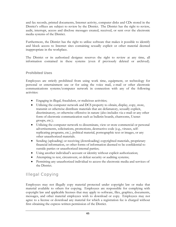and fax records, printed documents, Internet activity, computer disks and CDs stored in the District's offices are subject to review by the District. The District has the right to review, audit, interrupt, access and disclose messages created, received, or sent over the electronic media systems of the District.

Furthermore, the District has the right to utilize software that makes it possible to identify and block access to Internet sites containing sexually explicit or other material deemed inappropriate in the workplace.

The District or its authorized designee reserves the right to review at any time, all information contained in these systems (even if previously deleted or archived).

#### **Prohibited Uses**

Employees are strictly prohibited from using work time, equipment, or technology for personal or entertainment use or for using the voice mail, e-mail or other electronic communications systems/computer network in connection with any of the following activities:

- Engaging in illegal, fraudulent, or malicious activities;
- Utilizing the computer network and DCS property to obtain, display, copy, store, transmit or otherwise distribute materials that are defamatory, sexually explicit, discriminatory, or otherwise offensive in nature (also includes via e-mail or any other form of electronic communication such as bulletin boards, chatrooms, Usenet groups, etc.);
- Utilizing the computer network to disseminate, view or store commercial or personal advertisements, solicitations, promotions, destructive code (e.g., viruses, selfreplicating programs, etc.), political material, pornographic text or images, or any other unauthorized materials.
- Sending (uploading) or receiving (downloading) copyrighted materials, proprietary financial information, or other forms of information deemed to be confidential to outside parties or unauthorized internal parties;
- Using another individual's account or identity without explicit authorization;
- Attempting to test, circumvent, or defeat security or auditing systems;
- Permitting any unauthorized individual to access the electronic media and services of the District.

## Illegal Copying

Employees may not illegally copy material protected under copyright law or make that material available to others for copying. Employees are responsible for complying with copyright law and applicable licenses that may apply to software, files, graphics, documents, messages, and other material employees wish to download or copy. Employees may not agree to a license or download any material for which a registration fee is charged without first obtaining the express written permission of the District.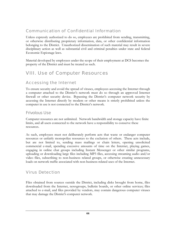## Communication of Confidential Information

Unless expressly authorized to do so, employees are prohibited from sending, transmitting, or otherwise distributing proprietary information, data, or other confidential information belonging to the District. Unauthorized dissemination of such material may result in severe disciplinary action as well as substantial civil and criminal penalties under state and federal Economic Espionage laws.

Material developed by employees under the scope of their employment at DCS becomes the property of the District and must be treated as such.

# VIII. Use of Computer Resources

## Accessing the Internet

To ensure security and avoid the spread of viruses, employees accessing the Internet through a computer attached to the District's network must do so through an approved Internet firewall or other security device. Bypassing the District's computer network security by accessing the Internet directly by modem or other means is strictly prohibited unless the computer in use is not connected to the District's network.

#### Frivolous Use

Computer resources are not unlimited. Network bandwidth and storage capacity have finite limits, and all users connected to the network have a responsibility to conserve these resources.

As such, employees must not deliberately perform acts that waste or endanger computer resources or unfairly monopolize resources to the exclusion of others. These acts include, but are not limited to, sending mass mailings or chain letters, opening unsolicited commercial e-mail, spending excessive amounts of time on the Internet, playing games, engaging in online chat groups including Instant Messenger or other similar programs, uploading or downloading large files including MP3 files, accessing streaming audio and/or video files, subscribing to non-business related groups, or otherwise creating unnecessary loads on network traffic associated with non-business-related uses of the Internet.

## Virus Detection

Files obtained from sources outside the District, including disks brought from home, files downloaded from the Internet, newsgroups, bulletin boards, or other online services; files attached to e-mail, and files provided by vendors, may contain dangerous computer viruses that may damage the District's computer network.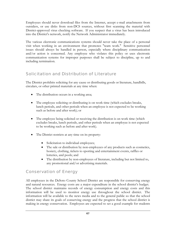Employees should never download files from the Internet, accept e-mail attachments from outsiders, or use disks from non-DCS sources, without first scanning the material with District-approved virus checking software. If you suspect that a virus has been introduced into the District's network, notify the Network Administrator immediately.

The various electronic communications systems should never take the place of a personal visit when working in an environment that promotes "team work." Sensitive personnel issues should always be handled in person, especially where disciplinary communication and/or action is concerned. Any employee who violates this policy or uses electronic communication systems for improper purposes shall be subject to discipline, up to and including termination.

## Solicitation and Distribution of Literature

The District prohibits soliciting for any cause or distributing goods or literature, handbills, circulars, or other printed materials at any time when:

- The distribution occurs in a working area;
- The employee soliciting or distributing is on work time (which excludes breaks, lunch periods, and other periods when an employee is not expected to be working such as before and after work); or
- The employee being solicited or receiving the distribution is on work time (which excludes breaks, lunch periods, and other periods when an employee is not expected to be working such as before and after work).
- The District restricts at any time on its property:
	- Solicitation to individual employees;
	- The sale or distribution by non-employees of any products such as cosmetics, hosiery, clothing, tickets to sporting and entertainment events, raffles or lotteries, and pools; and
	- The distribution by non-employees of literature, including but not limited to, any promotional and/or advertising materials.

# Conservation of Energy

All employees in the DeSoto County School District are responsible for conserving energy and natural resources. Energy costs are a major expenditure in the school district's budget. The school district maintains records of energy consumption and energy costs and this information will be used to monitor energy use throughout the school district. The information will be available to the news media and to the general public so that the school district may share its goals of conserving energy and the progress that the school district is making in energy conservation. Employees are expected to set a good example for students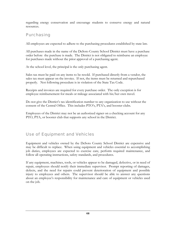regarding energy conservation and encourage students to conserve energy and natural resources.

## Purchasing

All employees are expected to adhere to the purchasing procedures established by state law.

All purchases made in the name of the DeSoto County School District must have a purchase order before the purchase is made. The District is not obligated to reimburse an employee for purchases made without the prior approval of a purchasing agent.

At the school level, the principal is the only purchasing agent.

Sales tax must be paid on any items to be resold. If purchased directly from a vendor, the sales tax must appear on the invoice. If not, the items must be returned and repurchased properly. Not following procedure is in violation of the State Tax Code.

Receipts and invoices are required for every purchase order. The only exception is for employee reimbursement for meals or mileage associated with his/her own travel.

Do not give the District's tax identification number to any organization to use without the consent of the Central Office. This includes PTO's, PTA's, and booster clubs.

Employees of the District may not be an authorized signer on a checking account for any PTO, PTA, or booster club that supports any school in the District.

## Use of Equipment and Vehicles

Equipment and vehicles owned by the DeSoto County School District are expensive and may be difficult to replace. When using equipment and vehicles essential to accomplishing job duties, employees are expected to exercise care, perform required maintenance, and follow all operating instructions, safety standards, and procedures.

If any equipment, machines, tools, or vehicles appear to be damaged, defective, or in need of repair, employees should notify their immediate supervisor. Prompt reporting of damages, defects, and the need for repairs could prevent deterioration of equipment and possible injury to employees and others. The supervisor should be able to answer any questions about an employee's responsibility for maintenance and care of equipment or vehicles used on the job.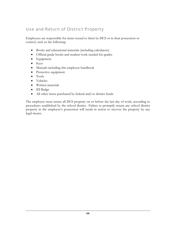## Use and Return of District Property

Employees are responsible for items issued to them by DCS or in their possession or control, such as the following:

- Books and educational materials (including calculators)
- Official grade books and student work needed for grades
- Equipment
- Keys
- Manuals including this employee handbook
- Protective equipment
- Tools
- Vehicles
- Written materials
- ID Badge
- All other items purchased by federal and/or district funds

The employee must return all DCS property on or before the last day of work, according to procedures established by the school district. Failure to promptly return any school district property in the employee's possession will result in action to recover the property by any legal means.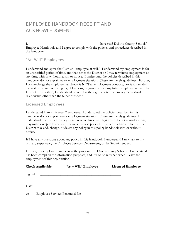# EMPLOYEE HANDBOOK RECEIPT AND ACKNOWLEDGMENT

I, \_\_\_\_\_\_\_\_\_\_\_\_\_\_\_\_\_\_\_\_\_\_\_\_\_\_\_\_\_\_\_\_\_\_\_\_\_\_\_\_\_ have read DeSoto County Schools' Employee Handbook, and I agree to comply with the policies and procedures described in the handbook.

#### "At- Will" Employees

I understand and agree that I am an "employee-at-will." I understand my employment is for an unspecified period of time, and that either the District or I may terminate employment at any time, with or without reason or notice. I understand the policies described in this handbook do not explain every employment situation. These are merely guidelines. Further, I acknowledge the employee handbook is NOT an employment contract, nor is it intended to create any contractual rights, obligations, or guarantees of my future employment with the District. In addition, I understand no one has the right to alter the employment-at-will relationship other than the Superintendent.

#### Licensed Employees

I understand I am a "licensed" employee. I understand the policies described in this handbook do not explain every employment situation. These are merely guidelines. I understand that district management, in accordance with legitimate district considerations, may make exceptions and clarifications to these policies. Further, I acknowledge that the District may add, change, or delete any policy in this policy handbook with or without notice.

If I have any questions about any policy in this handbook, I understand I may talk to my primary supervisor, the Employee Services Department, or the Superintendent.

Further, this employee handbook is the property of DeSoto County Schools. I understand it has been compiled for information purposes, and it is to be returned when I leave the employment of this organization.

|         |                                                                                                                       | Check Applicable: _______ "At – Will" Employee ________ Licensed Employee |  |
|---------|-----------------------------------------------------------------------------------------------------------------------|---------------------------------------------------------------------------|--|
| Signed: | <u> 1989 - Johann Barnett, fransk kongresu og den som forskellige og den som forskellige og den som forskellige o</u> |                                                                           |  |
| Date:   |                                                                                                                       |                                                                           |  |
| cc:     | Employee Services Personnel file                                                                                      |                                                                           |  |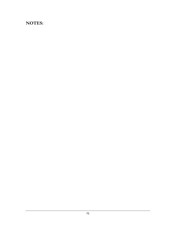# **NOTES:**